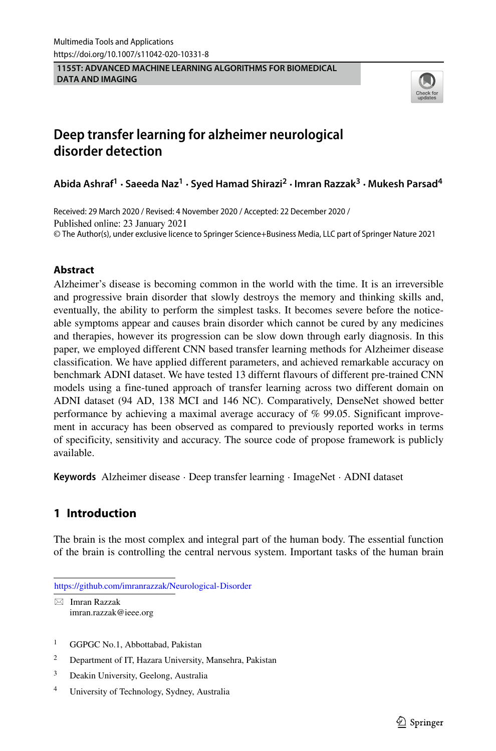**1155T: ADVANCED MACHINE LEARNING ALGORITHMS FOR BIOMEDICAL DATA AND IMAGING**



# **Deep transfer learning for alzheimer neurological disorder detection**

**Abida Ashraf<sup>1</sup> · Saeeda Naz<sup>1</sup> · Syed Hamad Shirazi<sup>2</sup> ·Imran Razzak3 · Mukesh Parsad4**

Received: 29 March 2020 / Revised: 4 November 2020 / Accepted: 22 December 2020 / Published online: 23 January 2021 © The Author(s), under exclusive licence to Springer Science+Business Media, LLC part of Springer Nature 2021

## **Abstract**

Alzheimer's disease is becoming common in the world with the time. It is an irreversible and progressive brain disorder that slowly destroys the memory and thinking skills and, eventually, the ability to perform the simplest tasks. It becomes severe before the noticeable symptoms appear and causes brain disorder which cannot be cured by any medicines and therapies, however its progression can be slow down through early diagnosis. In this paper, we employed different CNN based transfer learning methods for Alzheimer disease classification. We have applied different parameters, and achieved remarkable accuracy on benchmark ADNI dataset. We have tested 13 differnt flavours of different pre-trained CNN models using a fine-tuned approach of transfer learning across two different domain on ADNI dataset (94 AD, 138 MCI and 146 NC). Comparatively, DenseNet showed better performance by achieving a maximal average accuracy of % 99.05. Significant improvement in accuracy has been observed as compared to previously reported works in terms of specificity, sensitivity and accuracy. The source code of propose framework is publicly available.

**Keywords** Alzheimer disease · Deep transfer learning · ImageNet · ADNI dataset

# **1 Introduction**

The brain is the most complex and integral part of the human body. The essential function of the brain is controlling the central nervous system. Important tasks of the human brain

<https://github.com/imranrazzak/Neurological-Disorder>

- Imran Razzak [imran.razzak@ieee.org](mailto: imran.razzak@ieee.org)

- <sup>1</sup> GGPGC No.1, Abbottabad, Pakistan
- <sup>2</sup> Department of IT, Hazara University, Mansehra, Pakistan
- <sup>3</sup> Deakin University, Geelong, Australia
- <sup>4</sup> University of Technology, Sydney, Australia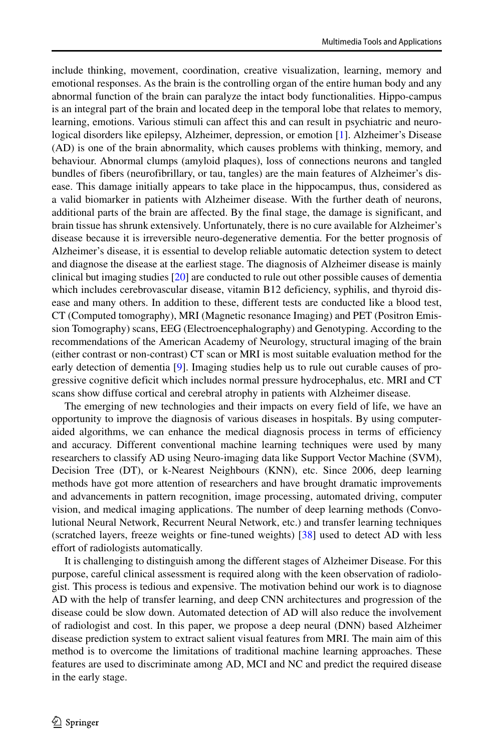include thinking, movement, coordination, creative visualization, learning, memory and emotional responses. As the brain is the controlling organ of the entire human body and any abnormal function of the brain can paralyze the intact body functionalities. Hippo-campus is an integral part of the brain and located deep in the temporal lobe that relates to memory, learning, emotions. Various stimuli can affect this and can result in psychiatric and neurological disorders like epilepsy, Alzheimer, depression, or emotion [\[1\]](#page-23-0). Alzheimer's Disease (AD) is one of the brain abnormality, which causes problems with thinking, memory, and behaviour. Abnormal clumps (amyloid plaques), loss of connections neurons and tangled bundles of fibers (neurofibrillary, or tau, tangles) are the main features of Alzheimer's disease. This damage initially appears to take place in the hippocampus, thus, considered as a valid biomarker in patients with Alzheimer disease. With the further death of neurons, additional parts of the brain are affected. By the final stage, the damage is significant, and brain tissue has shrunk extensively. Unfortunately, there is no cure available for Alzheimer's disease because it is irreversible neuro-degenerative dementia. For the better prognosis of Alzheimer's disease, it is essential to develop reliable automatic detection system to detect and diagnose the disease at the earliest stage. The diagnosis of Alzheimer disease is mainly clinical but imaging studies [\[20\]](#page-24-0) are conducted to rule out other possible causes of dementia which includes cerebrovascular disease, vitamin B12 deficiency, syphilis, and thyroid disease and many others. In addition to these, different tests are conducted like a blood test, CT (Computed tomography), MRI (Magnetic resonance Imaging) and PET (Positron Emission Tomography) scans, EEG (Electroencephalography) and Genotyping. According to the recommendations of the American Academy of Neurology, structural imaging of the brain (either contrast or non-contrast) CT scan or MRI is most suitable evaluation method for the early detection of dementia [\[9\]](#page-24-1). Imaging studies help us to rule out curable causes of progressive cognitive deficit which includes normal pressure hydrocephalus, etc. MRI and CT scans show diffuse cortical and cerebral atrophy in patients with Alzheimer disease.

The emerging of new technologies and their impacts on every field of life, we have an opportunity to improve the diagnosis of various diseases in hospitals. By using computeraided algorithms, we can enhance the medical diagnosis process in terms of efficiency and accuracy. Different conventional machine learning techniques were used by many researchers to classify AD using Neuro-imaging data like Support Vector Machine (SVM), Decision Tree (DT), or k-Nearest Neighbours (KNN), etc. Since 2006, deep learning methods have got more attention of researchers and have brought dramatic improvements and advancements in pattern recognition, image processing, automated driving, computer vision, and medical imaging applications. The number of deep learning methods (Convolutional Neural Network, Recurrent Neural Network, etc.) and transfer learning techniques (scratched layers, freeze weights or fine-tuned weights) [\[38\]](#page-25-0) used to detect AD with less effort of radiologists automatically.

It is challenging to distinguish among the different stages of Alzheimer Disease. For this purpose, careful clinical assessment is required along with the keen observation of radiologist. This process is tedious and expensive. The motivation behind our work is to diagnose AD with the help of transfer learning, and deep CNN architectures and progression of the disease could be slow down. Automated detection of AD will also reduce the involvement of radiologist and cost. In this paper, we propose a deep neural (DNN) based Alzheimer disease prediction system to extract salient visual features from MRI. The main aim of this method is to overcome the limitations of traditional machine learning approaches. These features are used to discriminate among AD, MCI and NC and predict the required disease in the early stage.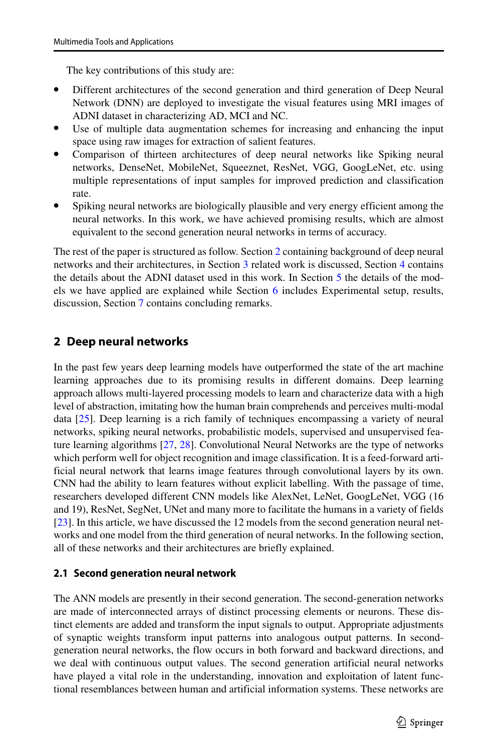The key contributions of this study are:

- Different architectures of the second generation and third generation of Deep Neural Network (DNN) are deployed to investigate the visual features using MRI images of ADNI dataset in characterizing AD, MCI and NC.
- Use of multiple data augmentation schemes for increasing and enhancing the input space using raw images for extraction of salient features.
- Comparison of thirteen architectures of deep neural networks like Spiking neural networks, DenseNet, MobileNet, Squeeznet, ResNet, VGG, GoogLeNet, etc. using multiple representations of input samples for improved prediction and classification rate.
- Spiking neural networks are biologically plausible and very energy efficient among the neural networks. In this work, we have achieved promising results, which are almost equivalent to the second generation neural networks in terms of accuracy.

The rest of the paper is structured as follow. Section [2](#page-2-0) containing background of deep neural networks and their architectures, in Section [3](#page-7-0) related work is discussed, Section [4](#page-9-0) contains the details about the ADNI dataset used in this work. In Section [5](#page-12-0) the details of the models we have applied are explained while Section [6](#page-17-0) includes Experimental setup, results, discussion, Section [7](#page-23-1) contains concluding remarks.

# <span id="page-2-0"></span>**2 Deep neural networks**

In the past few years deep learning models have outperformed the state of the art machine learning approaches due to its promising results in different domains. Deep learning approach allows multi-layered processing models to learn and characterize data with a high level of abstraction, imitating how the human brain comprehends and perceives multi-modal data [\[25\]](#page-24-2). Deep learning is a rich family of techniques encompassing a variety of neural networks, spiking neural networks, probabilistic models, supervised and unsupervised feature learning algorithms [\[27,](#page-25-1) [28\]](#page-25-2). Convolutional Neural Networks are the type of networks which perform well for object recognition and image classification. It is a feed-forward artificial neural network that learns image features through convolutional layers by its own. CNN had the ability to learn features without explicit labelling. With the passage of time, researchers developed different CNN models like AlexNet, LeNet, GoogLeNet, VGG (16 and 19), ResNet, SegNet, UNet and many more to facilitate the humans in a variety of fields [\[23\]](#page-24-3). In this article, we have discussed the 12 models from the second generation neural networks and one model from the third generation of neural networks. In the following section, all of these networks and their architectures are briefly explained.

# **2.1 Second generation neural network**

The ANN models are presently in their second generation. The second-generation networks are made of interconnected arrays of distinct processing elements or neurons. These distinct elements are added and transform the input signals to output. Appropriate adjustments of synaptic weights transform input patterns into analogous output patterns. In secondgeneration neural networks, the flow occurs in both forward and backward directions, and we deal with continuous output values. The second generation artificial neural networks have played a vital role in the understanding, innovation and exploitation of latent functional resemblances between human and artificial information systems. These networks are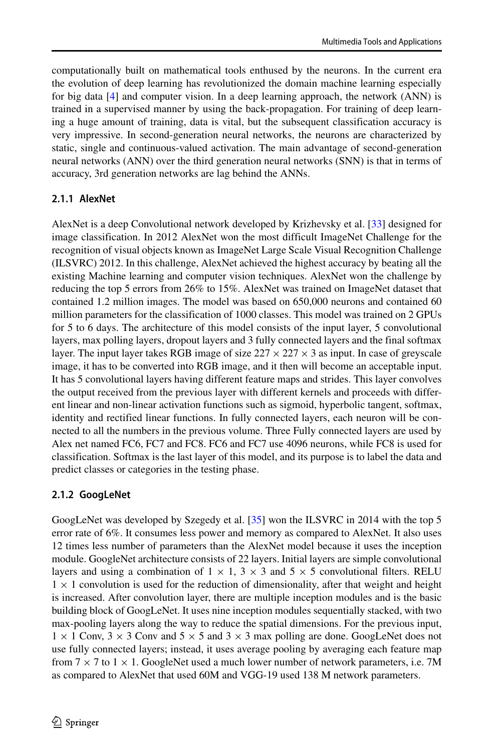computationally built on mathematical tools enthused by the neurons. In the current era the evolution of deep learning has revolutionized the domain machine learning especially for big data [\[4\]](#page-24-4) and computer vision. In a deep learning approach, the network (ANN) is trained in a supervised manner by using the back-propagation. For training of deep learning a huge amount of training, data is vital, but the subsequent classification accuracy is very impressive. In second-generation neural networks, the neurons are characterized by static, single and continuous-valued activation. The main advantage of second-generation neural networks (ANN) over the third generation neural networks (SNN) is that in terms of accuracy, 3rd generation networks are lag behind the ANNs.

#### **2.1.1 AlexNet**

AlexNet is a deep Convolutional network developed by Krizhevsky et al. [\[33\]](#page-25-3) designed for image classification. In 2012 AlexNet won the most difficult ImageNet Challenge for the recognition of visual objects known as ImageNet Large Scale Visual Recognition Challenge (ILSVRC) 2012. In this challenge, AlexNet achieved the highest accuracy by beating all the existing Machine learning and computer vision techniques. AlexNet won the challenge by reducing the top 5 errors from 26% to 15%. AlexNet was trained on ImageNet dataset that contained 1.2 million images. The model was based on 650,000 neurons and contained 60 million parameters for the classification of 1000 classes. This model was trained on 2 GPUs for 5 to 6 days. The architecture of this model consists of the input layer, 5 convolutional layers, max polling layers, dropout layers and 3 fully connected layers and the final softmax layer. The input layer takes RGB image of size  $227 \times 227 \times 3$  as input. In case of greyscale image, it has to be converted into RGB image, and it then will become an acceptable input. It has 5 convolutional layers having different feature maps and strides. This layer convolves the output received from the previous layer with different kernels and proceeds with different linear and non-linear activation functions such as sigmoid, hyperbolic tangent, softmax, identity and rectified linear functions. In fully connected layers, each neuron will be connected to all the numbers in the previous volume. Three Fully connected layers are used by Alex net named FC6, FC7 and FC8. FC6 and FC7 use 4096 neurons, while FC8 is used for classification. Softmax is the last layer of this model, and its purpose is to label the data and predict classes or categories in the testing phase.

#### **2.1.2 GoogLeNet**

GoogLeNet was developed by Szegedy et al. [\[35\]](#page-25-4) won the ILSVRC in 2014 with the top 5 error rate of 6%. It consumes less power and memory as compared to AlexNet. It also uses 12 times less number of parameters than the AlexNet model because it uses the inception module. GoogleNet architecture consists of 22 layers. Initial layers are simple convolutional layers and using a combination of  $1 \times 1$ ,  $3 \times 3$  and  $5 \times 5$  convolutional filters. RELU  $1 \times 1$  convolution is used for the reduction of dimensionality, after that weight and height is increased. After convolution layer, there are multiple inception modules and is the basic building block of GoogLeNet. It uses nine inception modules sequentially stacked, with two max-pooling layers along the way to reduce the spatial dimensions. For the previous input,  $1 \times 1$  Conv,  $3 \times 3$  Conv and  $5 \times 5$  and  $3 \times 3$  max polling are done. GoogLeNet does not use fully connected layers; instead, it uses average pooling by averaging each feature map from  $7 \times 7$  to  $1 \times 1$ . GoogleNet used a much lower number of network parameters, i.e. 7M as compared to AlexNet that used 60M and VGG-19 used 138 M network parameters.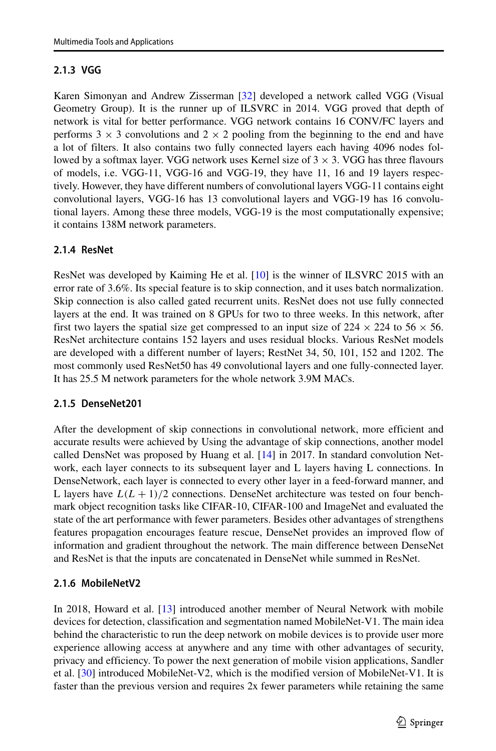# **2.1.3 VGG**

Karen Simonyan and Andrew Zisserman [\[32\]](#page-25-5) developed a network called VGG (Visual Geometry Group). It is the runner up of ILSVRC in 2014. VGG proved that depth of network is vital for better performance. VGG network contains 16 CONV/FC layers and performs  $3 \times 3$  convolutions and  $2 \times 2$  pooling from the beginning to the end and have a lot of filters. It also contains two fully connected layers each having 4096 nodes followed by a softmax layer. VGG network uses Kernel size of  $3 \times 3$ . VGG has three flavours of models, i.e. VGG-11, VGG-16 and VGG-19, they have 11, 16 and 19 layers respectively. However, they have different numbers of convolutional layers VGG-11 contains eight convolutional layers, VGG-16 has 13 convolutional layers and VGG-19 has 16 convolutional layers. Among these three models, VGG-19 is the most computationally expensive; it contains 138M network parameters.

# **2.1.4 ResNet**

ResNet was developed by Kaiming He et al. [\[10\]](#page-24-5) is the winner of ILSVRC 2015 with an error rate of 3.6%. Its special feature is to skip connection, and it uses batch normalization. Skip connection is also called gated recurrent units. ResNet does not use fully connected layers at the end. It was trained on 8 GPUs for two to three weeks. In this network, after first two layers the spatial size get compressed to an input size of  $224 \times 224$  to  $56 \times 56$ . ResNet architecture contains 152 layers and uses residual blocks. Various ResNet models are developed with a different number of layers; RestNet 34, 50, 101, 152 and 1202. The most commonly used ResNet50 has 49 convolutional layers and one fully-connected layer. It has 25.5 M network parameters for the whole network 3.9M MACs.

## **2.1.5 DenseNet201**

After the development of skip connections in convolutional network, more efficient and accurate results were achieved by Using the advantage of skip connections, another model called DensNet was proposed by Huang et al. [\[14\]](#page-24-6) in 2017. In standard convolution Network, each layer connects to its subsequent layer and L layers having L connections. In DenseNetwork, each layer is connected to every other layer in a feed-forward manner, and L layers have  $L(L+1)/2$  connections. DenseNet architecture was tested on four benchmark object recognition tasks like CIFAR-10, CIFAR-100 and ImageNet and evaluated the state of the art performance with fewer parameters. Besides other advantages of strengthens features propagation encourages feature rescue, DenseNet provides an improved flow of information and gradient throughout the network. The main difference between DenseNet and ResNet is that the inputs are concatenated in DenseNet while summed in ResNet.

# **2.1.6 MobileNetV2**

In 2018, Howard et al. [\[13\]](#page-24-7) introduced another member of Neural Network with mobile devices for detection, classification and segmentation named MobileNet-V1. The main idea behind the characteristic to run the deep network on mobile devices is to provide user more experience allowing access at anywhere and any time with other advantages of security, privacy and efficiency. To power the next generation of mobile vision applications, Sandler et al. [\[30\]](#page-25-6) introduced MobileNet-V2, which is the modified version of MobileNet-V1. It is faster than the previous version and requires 2x fewer parameters while retaining the same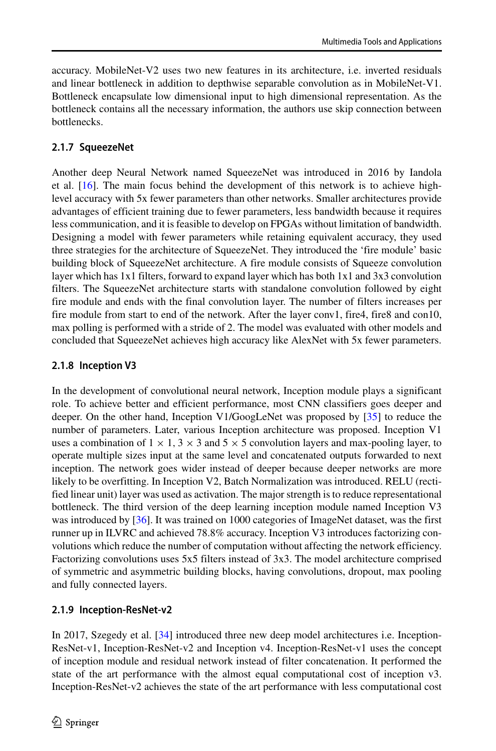accuracy. MobileNet-V2 uses two new features in its architecture, i.e. inverted residuals and linear bottleneck in addition to depthwise separable convolution as in MobileNet-V1. Bottleneck encapsulate low dimensional input to high dimensional representation. As the bottleneck contains all the necessary information, the authors use skip connection between bottlenecks.

## **2.1.7 SqueezeNet**

Another deep Neural Network named SqueezeNet was introduced in 2016 by Iandola et al. [\[16\]](#page-24-8). The main focus behind the development of this network is to achieve highlevel accuracy with 5x fewer parameters than other networks. Smaller architectures provide advantages of efficient training due to fewer parameters, less bandwidth because it requires less communication, and it is feasible to develop on FPGAs without limitation of bandwidth. Designing a model with fewer parameters while retaining equivalent accuracy, they used three strategies for the architecture of SqueezeNet. They introduced the 'fire module' basic building block of SqueezeNet architecture. A fire module consists of Squeeze convolution layer which has 1x1 filters, forward to expand layer which has both 1x1 and 3x3 convolution filters. The SqueezeNet architecture starts with standalone convolution followed by eight fire module and ends with the final convolution layer. The number of filters increases per fire module from start to end of the network. After the layer conv1, fire4, fire8 and con10, max polling is performed with a stride of 2. The model was evaluated with other models and concluded that SqueezeNet achieves high accuracy like AlexNet with 5x fewer parameters.

## **2.1.8 Inception V3**

In the development of convolutional neural network, Inception module plays a significant role. To achieve better and efficient performance, most CNN classifiers goes deeper and deeper. On the other hand, Inception V1/GoogLeNet was proposed by [\[35\]](#page-25-4) to reduce the number of parameters. Later, various Inception architecture was proposed. Inception V1 uses a combination of  $1 \times 1$ ,  $3 \times 3$  and  $5 \times 5$  convolution layers and max-pooling layer, to operate multiple sizes input at the same level and concatenated outputs forwarded to next inception. The network goes wider instead of deeper because deeper networks are more likely to be overfitting. In Inception V2, Batch Normalization was introduced. RELU (rectified linear unit) layer was used as activation. The major strength is to reduce representational bottleneck. The third version of the deep learning inception module named Inception V3 was introduced by [\[36\]](#page-25-7). It was trained on 1000 categories of ImageNet dataset, was the first runner up in ILVRC and achieved 78.8% accuracy. Inception V3 introduces factorizing convolutions which reduce the number of computation without affecting the network efficiency. Factorizing convolutions uses 5x5 filters instead of 3x3. The model architecture comprised of symmetric and asymmetric building blocks, having convolutions, dropout, max pooling and fully connected layers.

## **2.1.9 Inception-ResNet-v2**

In 2017, Szegedy et al. [\[34\]](#page-25-8) introduced three new deep model architectures i.e. Inception-ResNet-v1, Inception-ResNet-v2 and Inception v4. Inception-ResNet-v1 uses the concept of inception module and residual network instead of filter concatenation. It performed the state of the art performance with the almost equal computational cost of inception v3. Inception-ResNet-v2 achieves the state of the art performance with less computational cost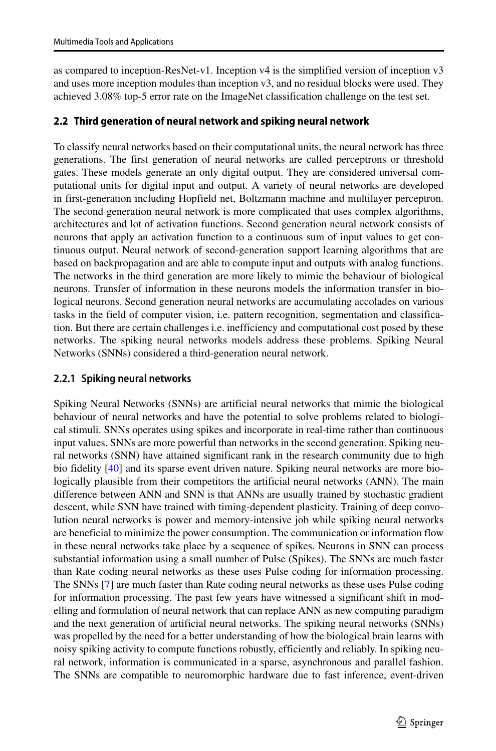as compared to inception-ResNet-v1. Inception v4 is the simplified version of inception v3 and uses more inception modules than inception v3, and no residual blocks were used. They achieved 3.08% top-5 error rate on the ImageNet classification challenge on the test set.

## **2.2 Third generation of neural network and spiking neural network**

To classify neural networks based on their computational units, the neural network has three generations. The first generation of neural networks are called perceptrons or threshold gates. These models generate an only digital output. They are considered universal computational units for digital input and output. A variety of neural networks are developed in first-generation including Hopfield net, Boltzmann machine and multilayer perceptron. The second generation neural network is more complicated that uses complex algorithms, architectures and lot of activation functions. Second generation neural network consists of neurons that apply an activation function to a continuous sum of input values to get continuous output. Neural network of second-generation support learning algorithms that are based on backpropagation and are able to compute input and outputs with analog functions. The networks in the third generation are more likely to mimic the behaviour of biological neurons. Transfer of information in these neurons models the information transfer in biological neurons. Second generation neural networks are accumulating accolades on various tasks in the field of computer vision, i.e. pattern recognition, segmentation and classification. But there are certain challenges i.e. inefficiency and computational cost posed by these networks. The spiking neural networks models address these problems. Spiking Neural Networks (SNNs) considered a third-generation neural network.

## **2.2.1 Spiking neural networks**

Spiking Neural Networks (SNNs) are artificial neural networks that mimic the biological behaviour of neural networks and have the potential to solve problems related to biological stimuli. SNNs operates using spikes and incorporate in real-time rather than continuous input values. SNNs are more powerful than networks in the second generation. Spiking neural networks (SNN) have attained significant rank in the research community due to high bio fidelity [\[40\]](#page-25-9) and its sparse event driven nature. Spiking neural networks are more biologically plausible from their competitors the artificial neural networks (ANN). The main difference between ANN and SNN is that ANNs are usually trained by stochastic gradient descent, while SNN have trained with timing-dependent plasticity. Training of deep convolution neural networks is power and memory-intensive job while spiking neural networks are beneficial to minimize the power consumption. The communication or information flow in these neural networks take place by a sequence of spikes. Neurons in SNN can process substantial information using a small number of Pulse (Spikes). The SNNs are much faster than Rate coding neural networks as these uses Pulse coding for information processing. The SNNs [\[7\]](#page-24-9) are much faster than Rate coding neural networks as these uses Pulse coding for information processing. The past few years have witnessed a significant shift in modelling and formulation of neural network that can replace ANN as new computing paradigm and the next generation of artificial neural networks. The spiking neural networks (SNNs) was propelled by the need for a better understanding of how the biological brain learns with noisy spiking activity to compute functions robustly, efficiently and reliably. In spiking neural network, information is communicated in a sparse, asynchronous and parallel fashion. The SNNs are compatible to neuromorphic hardware due to fast inference, event-driven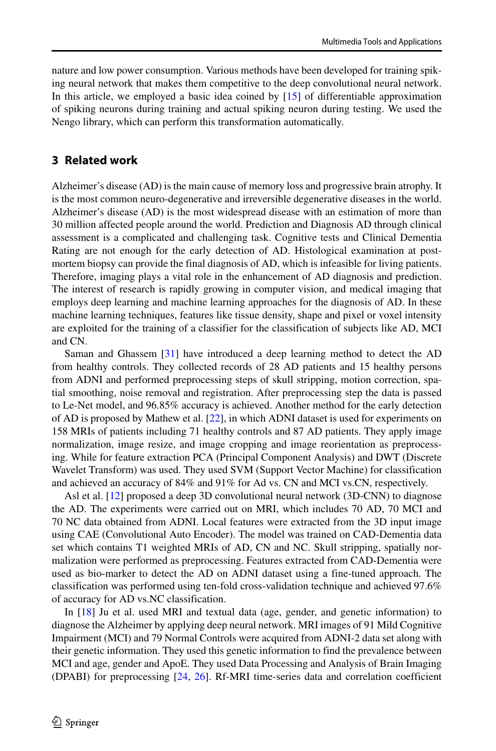nature and low power consumption. Various methods have been developed for training spiking neural network that makes them competitive to the deep convolutional neural network. In this article, we employed a basic idea coined by [\[15\]](#page-24-10) of differentiable approximation of spiking neurons during training and actual spiking neuron during testing. We used the Nengo library, which can perform this transformation automatically.

#### <span id="page-7-0"></span>**3 Related work**

Alzheimer's disease (AD) is the main cause of memory loss and progressive brain atrophy. It is the most common neuro-degenerative and irreversible degenerative diseases in the world. Alzheimer's disease (AD) is the most widespread disease with an estimation of more than 30 million affected people around the world. Prediction and Diagnosis AD through clinical assessment is a complicated and challenging task. Cognitive tests and Clinical Dementia Rating are not enough for the early detection of AD. Histological examination at postmortem biopsy can provide the final diagnosis of AD, which is infeasible for living patients. Therefore, imaging plays a vital role in the enhancement of AD diagnosis and prediction. The interest of research is rapidly growing in computer vision, and medical imaging that employs deep learning and machine learning approaches for the diagnosis of AD. In these machine learning techniques, features like tissue density, shape and pixel or voxel intensity are exploited for the training of a classifier for the classification of subjects like AD, MCI and CN.

Saman and Ghassem [\[31\]](#page-25-10) have introduced a deep learning method to detect the AD from healthy controls. They collected records of 28 AD patients and 15 healthy persons from ADNI and performed preprocessing steps of skull stripping, motion correction, spatial smoothing, noise removal and registration. After preprocessing step the data is passed to Le-Net model, and 96.85% accuracy is achieved. Another method for the early detection of AD is proposed by Mathew et al. [\[22\]](#page-24-11), in which ADNI dataset is used for experiments on 158 MRIs of patients including 71 healthy controls and 87 AD patients. They apply image normalization, image resize, and image cropping and image reorientation as preprocessing. While for feature extraction PCA (Principal Component Analysis) and DWT (Discrete Wavelet Transform) was used. They used SVM (Support Vector Machine) for classification and achieved an accuracy of 84% and 91% for Ad vs. CN and MCI vs.CN, respectively.

Asl et al. [\[12\]](#page-24-12) proposed a deep 3D convolutional neural network (3D-CNN) to diagnose the AD. The experiments were carried out on MRI, which includes 70 AD, 70 MCI and 70 NC data obtained from ADNI. Local features were extracted from the 3D input image using CAE (Convolutional Auto Encoder). The model was trained on CAD-Dementia data set which contains T1 weighted MRIs of AD, CN and NC. Skull stripping, spatially normalization were performed as preprocessing. Features extracted from CAD-Dementia were used as bio-marker to detect the AD on ADNI dataset using a fine-tuned approach. The classification was performed using ten-fold cross-validation technique and achieved 97.6% of accuracy for AD vs.NC classification.

In [\[18\]](#page-24-13) Ju et al. used MRI and textual data (age, gender, and genetic information) to diagnose the Alzheimer by applying deep neural network. MRI images of 91 Mild Cognitive Impairment (MCI) and 79 Normal Controls were acquired from ADNI-2 data set along with their genetic information. They used this genetic information to find the prevalence between MCI and age, gender and ApoE. They used Data Processing and Analysis of Brain Imaging (DPABI) for preprocessing [\[24,](#page-24-14) [26\]](#page-24-15). Rf-MRI time-series data and correlation coefficient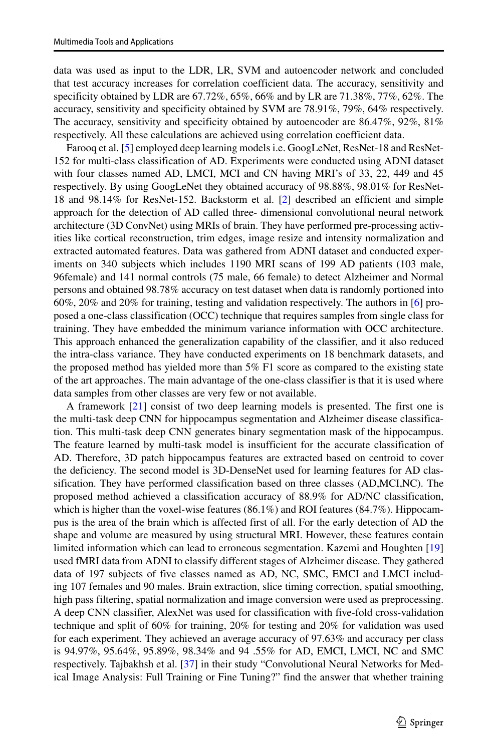data was used as input to the LDR, LR, SVM and autoencoder network and concluded that test accuracy increases for correlation coefficient data. The accuracy, sensitivity and specificity obtained by LDR are 67.72%, 65%, 66% and by LR are 71.38%, 77%, 62%. The accuracy, sensitivity and specificity obtained by SVM are 78.91%, 79%, 64% respectively. The accuracy, sensitivity and specificity obtained by autoencoder are 86.47%, 92%, 81% respectively. All these calculations are achieved using correlation coefficient data.

Farooq et al. [\[5\]](#page-24-16) employed deep learning models i.e. GoogLeNet, ResNet-18 and ResNet-152 for multi-class classification of AD. Experiments were conducted using ADNI dataset with four classes named AD, LMCI, MCI and CN having MRI's of 33, 22, 449 and 45 respectively. By using GoogLeNet they obtained accuracy of 98.88%, 98.01% for ResNet-18 and 98.14% for ResNet-152. Backstorm et al. [\[2\]](#page-23-2) described an efficient and simple approach for the detection of AD called three- dimensional convolutional neural network architecture (3D ConvNet) using MRIs of brain. They have performed pre-processing activities like cortical reconstruction, trim edges, image resize and intensity normalization and extracted automated features. Data was gathered from ADNI dataset and conducted experiments on 340 subjects which includes 1190 MRI scans of 199 AD patients (103 male, 96female) and 141 normal controls (75 male, 66 female) to detect Alzheimer and Normal persons and obtained 98.78% accuracy on test dataset when data is randomly portioned into 60%, 20% and 20% for training, testing and validation respectively. The authors in [\[6\]](#page-24-17) proposed a one-class classification (OCC) technique that requires samples from single class for training. They have embedded the minimum variance information with OCC architecture. This approach enhanced the generalization capability of the classifier, and it also reduced the intra-class variance. They have conducted experiments on 18 benchmark datasets, and the proposed method has yielded more than 5% F1 score as compared to the existing state of the art approaches. The main advantage of the one-class classifier is that it is used where data samples from other classes are very few or not available.

A framework [\[21\]](#page-24-18) consist of two deep learning models is presented. The first one is the multi-task deep CNN for hippocampus segmentation and Alzheimer disease classification. This multi-task deep CNN generates binary segmentation mask of the hippocampus. The feature learned by multi-task model is insufficient for the accurate classification of AD. Therefore, 3D patch hippocampus features are extracted based on centroid to cover the deficiency. The second model is 3D-DenseNet used for learning features for AD classification. They have performed classification based on three classes (AD,MCI,NC). The proposed method achieved a classification accuracy of 88.9% for AD/NC classification, which is higher than the voxel-wise features (86.1%) and ROI features (84.7%). Hippocampus is the area of the brain which is affected first of all. For the early detection of AD the shape and volume are measured by using structural MRI. However, these features contain limited information which can lead to erroneous segmentation. Kazemi and Houghten [\[19\]](#page-24-19) used fMRI data from ADNI to classify different stages of Alzheimer disease. They gathered data of 197 subjects of five classes named as AD, NC, SMC, EMCI and LMCI including 107 females and 90 males. Brain extraction, slice timing correction, spatial smoothing, high pass filtering, spatial normalization and image conversion were used as preprocessing. A deep CNN classifier, AlexNet was used for classification with five-fold cross-validation technique and split of 60% for training, 20% for testing and 20% for validation was used for each experiment. They achieved an average accuracy of 97.63% and accuracy per class is 94.97%, 95.64%, 95.89%, 98.34% and 94 .55% for AD, EMCI, LMCI, NC and SMC respectively. Tajbakhsh et al. [\[37\]](#page-25-11) in their study "Convolutional Neural Networks for Medical Image Analysis: Full Training or Fine Tuning?" find the answer that whether training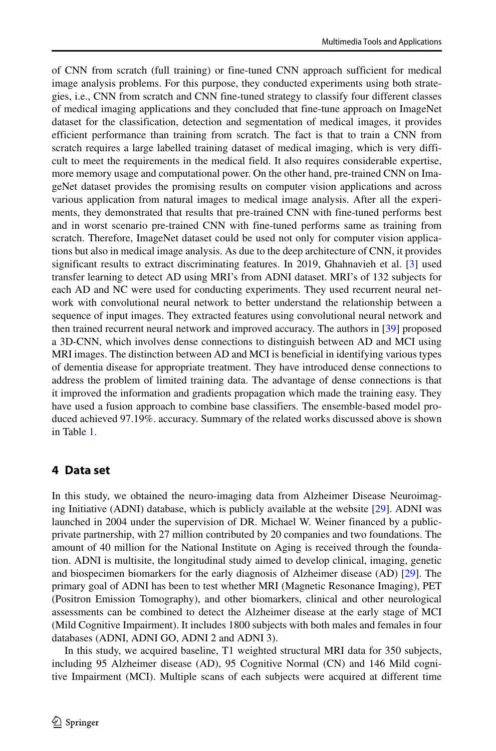of CNN from scratch (full training) or fine-tuned CNN approach sufficient for medical image analysis problems. For this purpose, they conducted experiments using both strategies, i.e., CNN from scratch and CNN fine-tuned strategy to classify four different classes of medical imaging applications and they concluded that fine-tune approach on ImageNet dataset for the classification, detection and segmentation of medical images, it provides efficient performance than training from scratch. The fact is that to train a CNN from scratch requires a large labelled training dataset of medical imaging, which is very difficult to meet the requirements in the medical field. It also requires considerable expertise, more memory usage and computational power. On the other hand, pre-trained CNN on ImageNet dataset provides the promising results on computer vision applications and across various application from natural images to medical image analysis. After all the experiments, they demonstrated that results that pre-trained CNN with fine-tuned performs best and in worst scenario pre-trained CNN with fine-tuned performs same as training from scratch. Therefore, ImageNet dataset could be used not only for computer vision applications but also in medical image analysis. As due to the deep architecture of CNN, it provides significant results to extract discriminating features. In 2019, Ghahnavieh et al. [\[3\]](#page-24-20) used transfer learning to detect AD using MRI's from ADNI dataset. MRI's of 132 subjects for each AD and NC were used for conducting experiments. They used recurrent neural network with convolutional neural network to better understand the relationship between a sequence of input images. They extracted features using convolutional neural network and then trained recurrent neural network and improved accuracy. The authors in [\[39\]](#page-25-12) proposed a 3D-CNN, which involves dense connections to distinguish between AD and MCI using MRI images. The distinction between AD and MCI is beneficial in identifying various types of dementia disease for appropriate treatment. They have introduced dense connections to address the problem of limited training data. The advantage of dense connections is that it improved the information and gradients propagation which made the training easy. They have used a fusion approach to combine base classifiers. The ensemble-based model produced achieved 97.19%. accuracy. Summary of the related works discussed above is shown in Table [1.](#page-10-0)

#### <span id="page-9-0"></span>**4 Data set**

In this study, we obtained the neuro-imaging data from Alzheimer Disease Neuroimaging Initiative (ADNI) database, which is publicly available at the website [\[29\]](#page-25-13). ADNI was launched in 2004 under the supervision of DR. Michael W. Weiner financed by a publicprivate partnership, with 27 million contributed by 20 companies and two foundations. The amount of 40 million for the National Institute on Aging is received through the foundation. ADNI is multisite, the longitudinal study aimed to develop clinical, imaging, genetic and biospecimen biomarkers for the early diagnosis of Alzheimer disease (AD) [\[29\]](#page-25-13). The primary goal of ADNI has been to test whether MRI (Magnetic Resonance Imaging), PET (Positron Emission Tomography), and other biomarkers, clinical and other neurological assessments can be combined to detect the Alzheimer disease at the early stage of MCI (Mild Cognitive Impairment). It includes 1800 subjects with both males and females in four databases (ADNI, ADNI GO, ADNI 2 and ADNI 3).

In this study, we acquired baseline, T1 weighted structural MRI data for 350 subjects, including 95 Alzheimer disease (AD), 95 Cognitive Normal (CN) and 146 Mild cognitive Impairment (MCI). Multiple scans of each subjects were acquired at different time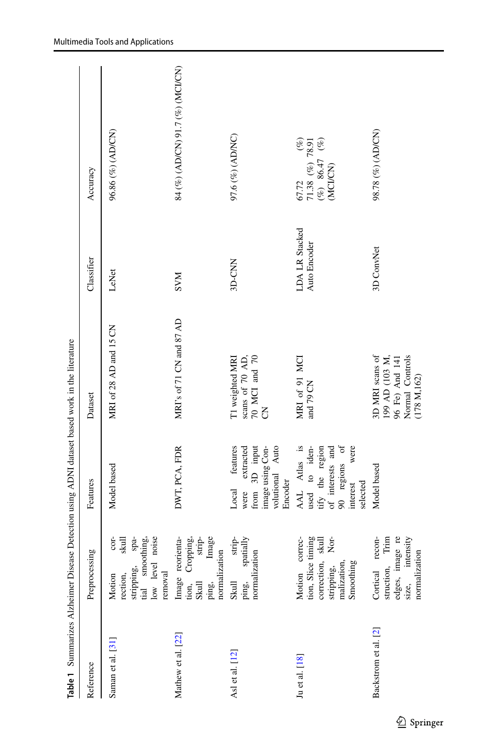<span id="page-10-0"></span>

|                      |                                                                                                                       | Table 1 Summarizes Alzheimer Disease Detection using ADNI dataset based work in the literature                        |                                                                                                              |                                |                                                                                   |
|----------------------|-----------------------------------------------------------------------------------------------------------------------|-----------------------------------------------------------------------------------------------------------------------|--------------------------------------------------------------------------------------------------------------|--------------------------------|-----------------------------------------------------------------------------------|
| Reference            | Preprocessing                                                                                                         | Features                                                                                                              | Dataset                                                                                                      | Classifier                     | Accuracy                                                                          |
| Saman et al. [31]    | stripping, spa-<br>tial smoothing,<br>noise<br>$cor-$<br>skull<br>low level<br>removal<br>rection,<br>Motion          | Model based                                                                                                           | MRI of 28 AD and 15 CN                                                                                       | LeNet                          | 96.86 (%) (AD/CN)                                                                 |
| Mathew et al. [22]   | Image<br>Image reorienta-<br>Cropping,<br>strip-<br>normalization<br>ping,<br>Skull<br>tion,                          | DWT, PCA, FDR                                                                                                         | MRI's of 71 CN and 87 AD                                                                                     | <b>NNS</b>                     | 84 (%) (AD/CN) 91.7 (%) (MCI/CN)                                                  |
| Asl et al. [12]      | spatially<br>strip-<br>normalization<br>ping,<br>Skull                                                                | features<br>extrated<br>volutional Auto<br>from 3D input<br>image using Con-<br>Encoder<br>Local<br>were              | T1 weighted MRI<br>scans of $\overline{70}$ AD,<br>$\overline{70}$ MC1 and $\overline{70}$<br>$\overline{5}$ | 3D-CNN                         | $97.6$ $(\%)$ (ADNC)                                                              |
| Ju et al. [18]       | tion, Slice timing<br>correction, skull<br>correc-<br>$\rm{Nor-}$<br>malization,<br>Smoothing<br>stripping,<br>Motion | AAL Atlas is<br>used to iden-<br>90 regions of<br>tify the region<br>of interests and<br>were<br>selected<br>interest | MRI of 91 MCI<br>and 79 CN                                                                                   | LDA LR Stacked<br>Auto Encoder | 67.72 $($ 78.91<br>71.38 $($ % $)$ 78.91<br>$($ % $)$ 86.47 $($ % $)$<br>(MCI/CN) |
| Backstrom et al. [2] | edges, image re<br>intensity<br>Trim<br>recon-<br>normalization<br>struction,<br>Cortical<br>size,                    | Model based                                                                                                           | $96$ Fe) And 141 Normal Controls<br>(178 $\mathrm{M},162)$<br>3D MRI scans of<br>199 AD (103 M,              | 3D ConvNet                     | 98.78 (%) (AD/CN)                                                                 |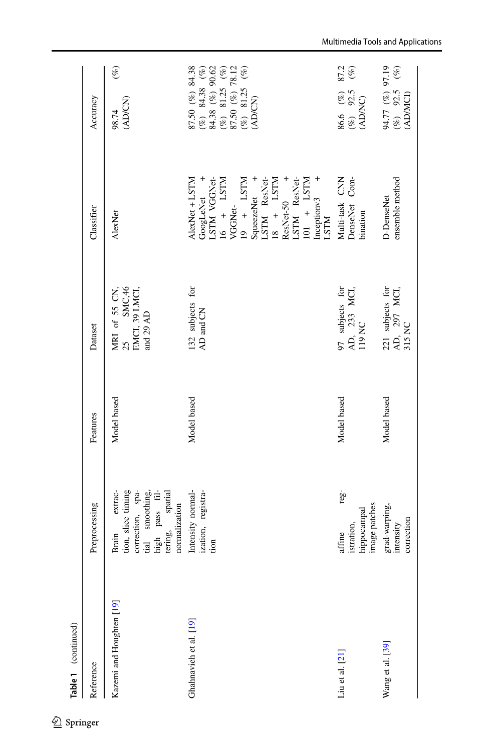| Table 1 (continued)      |                                                                                                                                     |             |                                                                     |                                                                                                                                                 |                                                                                                                                                                                                                                                                                                            |
|--------------------------|-------------------------------------------------------------------------------------------------------------------------------------|-------------|---------------------------------------------------------------------|-------------------------------------------------------------------------------------------------------------------------------------------------|------------------------------------------------------------------------------------------------------------------------------------------------------------------------------------------------------------------------------------------------------------------------------------------------------------|
| Reference                | Preprocessing                                                                                                                       | Features    | Dataset                                                             | Classifier                                                                                                                                      | Accuracy                                                                                                                                                                                                                                                                                                   |
| Kazemi and Houghten [19] | extrac-<br>tion, slice timing<br>tial smoothing,<br>correction, spa-<br>high pass fil-<br>tering, spatial<br>normalization<br>Brain | Model based | SMC,46<br>MRI of 55 CN,<br>25 SMC,46<br>EMCI, 39 LMCI,<br>and 29 AD | AlexNet                                                                                                                                         | $(\%)$<br>(AD/CN)<br>98.74                                                                                                                                                                                                                                                                                 |
| Ghahnavieh et al. [19]   | Intensity normal-<br>ization, registra-<br>tion                                                                                     | Model based | 132 subjects for<br>AD and CN                                       | $\begin{array}{ll} {\bf A}{\bf lexNet} + {\bf LSTM}\\ {\bf GoogleNet} & +\\ {\bf LSTM} & {\bf VGGNet} \\ {\bf 16} & + & {\bf LSTM} \end{array}$ | $\begin{array}{ll} \text{87.50} \ (\%) & \text{84.38} \\ (\%) & \text{84.38} \ (\%) \\ \text{84.38} \ (\%) & \text{90.62} \\ (\%) & \text{81.25} \ (\%) \\ \text{87.50} \ (\%) & \text{81.21} \\ (\%) & \text{81.22} \ (\%) \\ (\%) & \text{81.23} \ (\%) \\ \text{(AD/CN)} \\ \text{(AD/CN)} \end{array}$ |
| $Liu$ et al. $[21]$      | $reg-$<br>image patches<br>hippocampal<br>istration,<br>affine                                                                      | Model based | 97 subjects for<br>AD, 233 MCI,<br>119 NC                           | Multi-task CNN<br>DenseNet Com-<br>bination                                                                                                     | 87.2<br>$(\%)$<br>86.6 (%)<br>(%) 92.5<br>(ADNC)                                                                                                                                                                                                                                                           |
| Wang et al. [39]         | grad-warping,<br>correction<br>intensity                                                                                            | Model based | 221 subjects for<br>AD, $297$ MCI,<br>315 NC                        | ensemble method<br>D-DenseNet                                                                                                                   | 94.77 (%) 97.19<br>(%) 92.5 (%)<br>(ADMCI)                                                                                                                                                                                                                                                                 |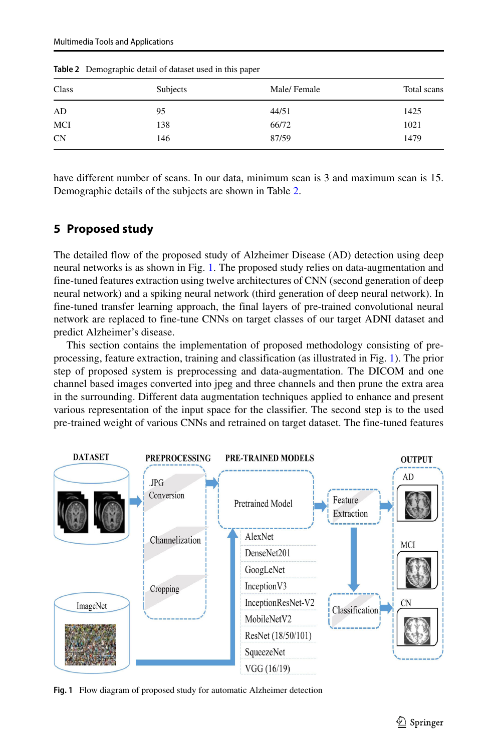| Subjects | Male/Female | Total scans |
|----------|-------------|-------------|
| 95       | 44/51       | 1425        |
| 138      | 66/72       | 1021        |
| 146      | 87/59       | 1479        |
|          |             |             |

<span id="page-12-1"></span>**Table 2** Demographic detail of dataset used in this paper

have different number of scans. In our data, minimum scan is 3 and maximum scan is 15. Demographic details of the subjects are shown in Table [2.](#page-12-1)

# <span id="page-12-0"></span>**5 Proposed study**

The detailed flow of the proposed study of Alzheimer Disease (AD) detection using deep neural networks is as shown in Fig. [1.](#page-12-2) The proposed study relies on data-augmentation and fine-tuned features extraction using twelve architectures of CNN (second generation of deep neural network) and a spiking neural network (third generation of deep neural network). In fine-tuned transfer learning approach, the final layers of pre-trained convolutional neural network are replaced to fine-tune CNNs on target classes of our target ADNI dataset and predict Alzheimer's disease.

This section contains the implementation of proposed methodology consisting of preprocessing, feature extraction, training and classification (as illustrated in Fig. [1\)](#page-12-2). The prior step of proposed system is preprocessing and data-augmentation. The DICOM and one channel based images converted into jpeg and three channels and then prune the extra area in the surrounding. Different data augmentation techniques applied to enhance and present various representation of the input space for the classifier. The second step is to the used pre-trained weight of various CNNs and retrained on target dataset. The fine-tuned features

<span id="page-12-2"></span>

**Fig. 1** Flow diagram of proposed study for automatic Alzheimer detection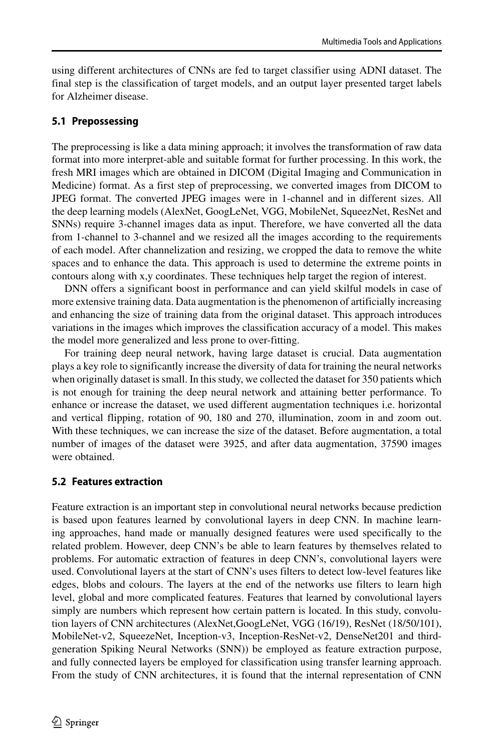using different architectures of CNNs are fed to target classifier using ADNI dataset. The final step is the classification of target models, and an output layer presented target labels for Alzheimer disease.

#### **5.1 Prepossessing**

The preprocessing is like a data mining approach; it involves the transformation of raw data format into more interpret-able and suitable format for further processing. In this work, the fresh MRI images which are obtained in DICOM (Digital Imaging and Communication in Medicine) format. As a first step of preprocessing, we converted images from DICOM to JPEG format. The converted JPEG images were in 1-channel and in different sizes. All the deep learning models (AlexNet, GoogLeNet, VGG, MobileNet, SqueezNet, ResNet and SNNs) require 3-channel images data as input. Therefore, we have converted all the data from 1-channel to 3-channel and we resized all the images according to the requirements of each model. After channelization and resizing, we cropped the data to remove the white spaces and to enhance the data. This approach is used to determine the extreme points in contours along with x,y coordinates. These techniques help target the region of interest.

DNN offers a significant boost in performance and can yield skilful models in case of more extensive training data. Data augmentation is the phenomenon of artificially increasing and enhancing the size of training data from the original dataset. This approach introduces variations in the images which improves the classification accuracy of a model. This makes the model more generalized and less prone to over-fitting.

For training deep neural network, having large dataset is crucial. Data augmentation plays a key role to significantly increase the diversity of data for training the neural networks when originally dataset is small. In this study, we collected the dataset for 350 patients which is not enough for training the deep neural network and attaining better performance. To enhance or increase the dataset, we used different augmentation techniques i.e. horizontal and vertical flipping, rotation of 90, 180 and 270, illumination, zoom in and zoom out. With these techniques, we can increase the size of the dataset. Before augmentation, a total number of images of the dataset were 3925, and after data augmentation, 37590 images were obtained.

#### **5.2 Features extraction**

Feature extraction is an important step in convolutional neural networks because prediction is based upon features learned by convolutional layers in deep CNN. In machine learning approaches, hand made or manually designed features were used specifically to the related problem. However, deep CNN's be able to learn features by themselves related to problems. For automatic extraction of features in deep CNN's, convolutional layers were used. Convolutional layers at the start of CNN's uses filters to detect low-level features like edges, blobs and colours. The layers at the end of the networks use filters to learn high level, global and more complicated features. Features that learned by convolutional layers simply are numbers which represent how certain pattern is located. In this study, convolution layers of CNN architectures (AlexNet,GoogLeNet, VGG (16/19), ResNet (18/50/101), MobileNet-v2, SqueezeNet, Inception-v3, Inception-ResNet-v2, DenseNet201 and thirdgeneration Spiking Neural Networks (SNN)) be employed as feature extraction purpose, and fully connected layers be employed for classification using transfer learning approach. From the study of CNN architectures, it is found that the internal representation of CNN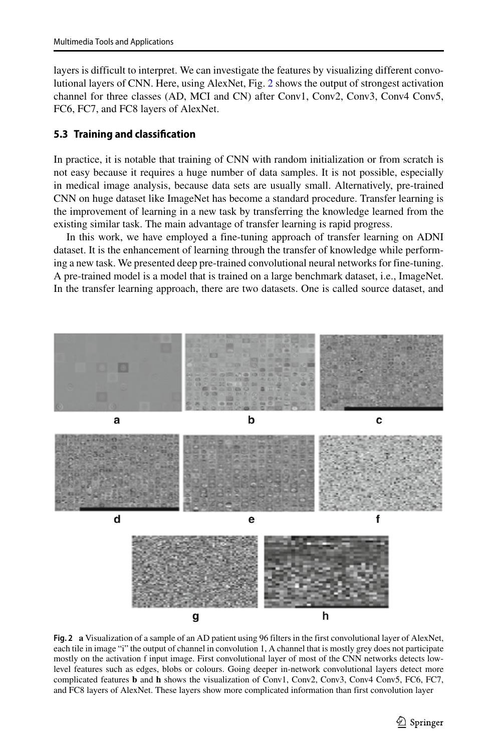layers is difficult to interpret. We can investigate the features by visualizing different convolutional layers of CNN. Here, using AlexNet, Fig. [2](#page-14-0) shows the output of strongest activation channel for three classes (AD, MCI and CN) after Conv1, Conv2, Conv3, Conv4 Conv5, FC6, FC7, and FC8 layers of AlexNet.

#### **5.3 Training and classification**

In practice, it is notable that training of CNN with random initialization or from scratch is not easy because it requires a huge number of data samples. It is not possible, especially in medical image analysis, because data sets are usually small. Alternatively, pre-trained CNN on huge dataset like ImageNet has become a standard procedure. Transfer learning is the improvement of learning in a new task by transferring the knowledge learned from the existing similar task. The main advantage of transfer learning is rapid progress.

In this work, we have employed a fine-tuning approach of transfer learning on ADNI dataset. It is the enhancement of learning through the transfer of knowledge while performing a new task. We presented deep pre-trained convolutional neural networks for fine-tuning. A pre-trained model is a model that is trained on a large benchmark dataset, i.e., ImageNet. In the transfer learning approach, there are two datasets. One is called source dataset, and

<span id="page-14-0"></span>

**Fig. 2 a** Visualization of a sample of an AD patient using 96 filters in the first convolutional layer of AlexNet, each tile in image "i" the output of channel in convolution 1, A channel that is mostly grey does not participate mostly on the activation f input image. First convolutional layer of most of the CNN networks detects lowlevel features such as edges, blobs or colours. Going deeper in-network convolutional layers detect more complicated features **b** and **h** shows the visualization of Conv1, Conv2, Conv3, Conv4 Conv5, FC6, FC7, and FC8 layers of AlexNet. These layers show more complicated information than first convolution layer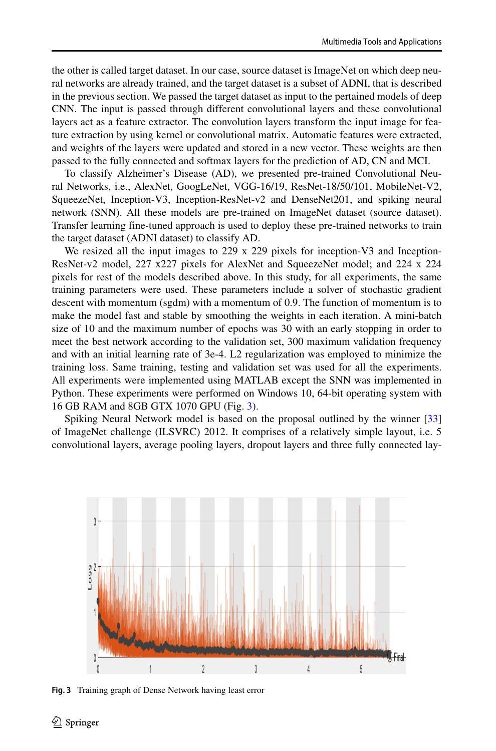the other is called target dataset. In our case, source dataset is ImageNet on which deep neural networks are already trained, and the target dataset is a subset of ADNI, that is described in the previous section. We passed the target dataset as input to the pertained models of deep CNN. The input is passed through different convolutional layers and these convolutional layers act as a feature extractor. The convolution layers transform the input image for feature extraction by using kernel or convolutional matrix. Automatic features were extracted, and weights of the layers were updated and stored in a new vector. These weights are then passed to the fully connected and softmax layers for the prediction of AD, CN and MCI.

To classify Alzheimer's Disease (AD), we presented pre-trained Convolutional Neural Networks, i.e., AlexNet, GoogLeNet, VGG-16/19, ResNet-18/50/101, MobileNet-V2, SqueezeNet, Inception-V3, Inception-ResNet-v2 and DenseNet201, and spiking neural network (SNN). All these models are pre-trained on ImageNet dataset (source dataset). Transfer learning fine-tuned approach is used to deploy these pre-trained networks to train the target dataset (ADNI dataset) to classify AD.

We resized all the input images to 229 x 229 pixels for inception-V3 and Inception-ResNet-v2 model, 227 x227 pixels for AlexNet and SqueezeNet model; and 224 x 224 pixels for rest of the models described above. In this study, for all experiments, the same training parameters were used. These parameters include a solver of stochastic gradient descent with momentum (sgdm) with a momentum of 0.9. The function of momentum is to make the model fast and stable by smoothing the weights in each iteration. A mini-batch size of 10 and the maximum number of epochs was 30 with an early stopping in order to meet the best network according to the validation set, 300 maximum validation frequency and with an initial learning rate of 3e-4. L2 regularization was employed to minimize the training loss. Same training, testing and validation set was used for all the experiments. All experiments were implemented using MATLAB except the SNN was implemented in Python. These experiments were performed on Windows 10, 64-bit operating system with 16 GB RAM and 8GB GTX 1070 GPU (Fig. [3\)](#page-15-0).

Spiking Neural Network model is based on the proposal outlined by the winner [\[33\]](#page-25-3) of ImageNet challenge (ILSVRC) 2012. It comprises of a relatively simple layout, i.e. 5 convolutional layers, average pooling layers, dropout layers and three fully connected lay-

<span id="page-15-0"></span>

**Fig. 3** Training graph of Dense Network having least error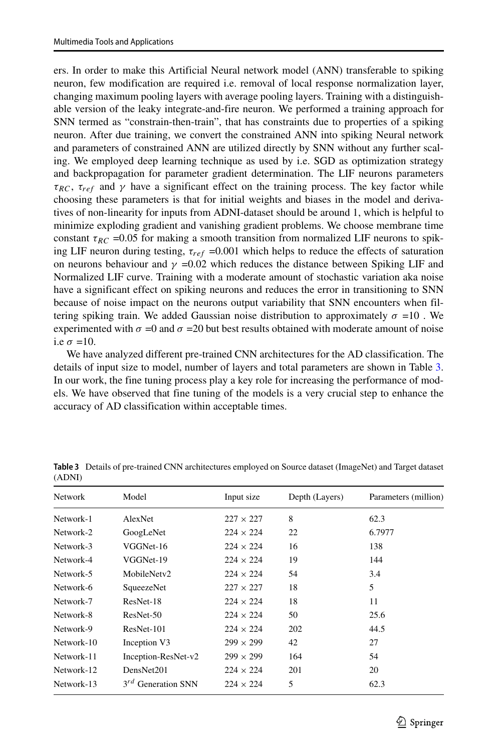ers. In order to make this Artificial Neural network model (ANN) transferable to spiking neuron, few modification are required i.e. removal of local response normalization layer, changing maximum pooling layers with average pooling layers. Training with a distinguishable version of the leaky integrate-and-fire neuron. We performed a training approach for SNN termed as "constrain-then-train", that has constraints due to properties of a spiking neuron. After due training, we convert the constrained ANN into spiking Neural network and parameters of constrained ANN are utilized directly by SNN without any further scaling. We employed deep learning technique as used by i.e. SGD as optimization strategy and backpropagation for parameter gradient determination. The LIF neurons parameters  $\tau_{RC}$ ,  $\tau_{ref}$  and  $\gamma$  have a significant effect on the training process. The key factor while choosing these parameters is that for initial weights and biases in the model and derivatives of non-linearity for inputs from ADNI-dataset should be around 1, which is helpful to minimize exploding gradient and vanishing gradient problems. We choose membrane time constant  $\tau_{RC}$  =0.05 for making a smooth transition from normalized LIF neurons to spiking LIF neuron during testing,  $\tau_{ref}$  =0.001 which helps to reduce the effects of saturation on neurons behaviour and  $\gamma$  =0.02 which reduces the distance between Spiking LIF and Normalized LIF curve. Training with a moderate amount of stochastic variation aka noise have a significant effect on spiking neurons and reduces the error in transitioning to SNN because of noise impact on the neurons output variability that SNN encounters when filtering spiking train. We added Gaussian noise distribution to approximately  $\sigma = 10$ . We experimented with  $\sigma$  =0 and  $\sigma$  =20 but best results obtained with moderate amount of noise i.e  $\sigma$  =10.

We have analyzed different pre-trained CNN architectures for the AD classification. The details of input size to model, number of layers and total parameters are shown in Table [3.](#page-16-0) In our work, the fine tuning process play a key role for increasing the performance of models. We have observed that fine tuning of the models is a very crucial step to enhance the accuracy of AD classification within acceptable times.

| Network    | Model                             | Input size       | Depth (Layers) | Parameters (million) |
|------------|-----------------------------------|------------------|----------------|----------------------|
| Network-1  | AlexNet                           | $227 \times 227$ | 8              | 62.3                 |
| Network-2  | GoogLeNet                         | $224 \times 224$ | 22             | 6.7977               |
| Network-3  | VGGNet-16                         | $224 \times 224$ | 16             | 138                  |
| Network-4  | VGGNet-19                         | $224 \times 224$ | 19             | 144                  |
| Network-5  | MobileNetv2                       | $224 \times 224$ | 54             | 3.4                  |
| Network-6  | SqueezeNet                        | $227 \times 227$ | 18             | 5                    |
| Network-7  | ResNet-18                         | $224 \times 224$ | 18             | 11                   |
| Network-8  | ResNet-50                         | $224 \times 224$ | 50             | 25.6                 |
| Network-9  | ResNet-101                        | $224 \times 224$ | 202            | 44.5                 |
| Network-10 | Inception V3                      | $299 \times 299$ | 42             | 27                   |
| Network-11 | Inception-ResNet-v2               | $299 \times 299$ | 164            | 54                   |
| Network-12 | DensNet201                        | $224 \times 224$ | 201            | 20                   |
| Network-13 | $3^{rd}$<br><b>Generation SNN</b> | $224 \times 224$ | 5              | 62.3                 |

<span id="page-16-0"></span>**Table 3** Details of pre-trained CNN architectures employed on Source dataset (ImageNet) and Target dataset (ADNI)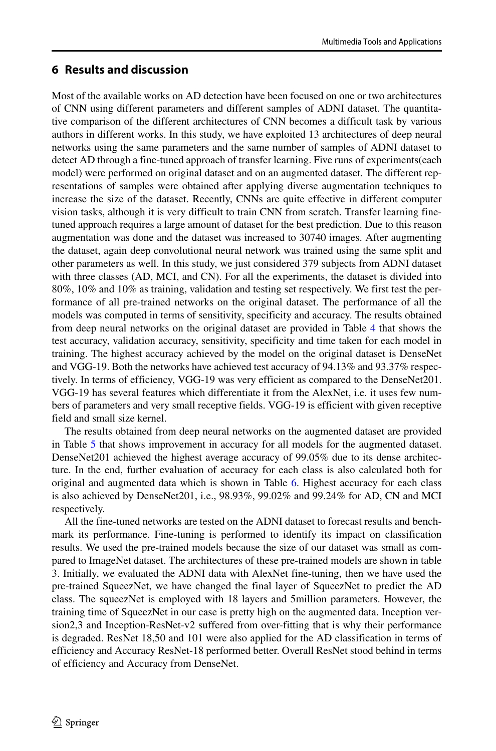## <span id="page-17-0"></span>**6 Results and discussion**

Most of the available works on AD detection have been focused on one or two architectures of CNN using different parameters and different samples of ADNI dataset. The quantitative comparison of the different architectures of CNN becomes a difficult task by various authors in different works. In this study, we have exploited 13 architectures of deep neural networks using the same parameters and the same number of samples of ADNI dataset to detect AD through a fine-tuned approach of transfer learning. Five runs of experiments(each model) were performed on original dataset and on an augmented dataset. The different representations of samples were obtained after applying diverse augmentation techniques to increase the size of the dataset. Recently, CNNs are quite effective in different computer vision tasks, although it is very difficult to train CNN from scratch. Transfer learning finetuned approach requires a large amount of dataset for the best prediction. Due to this reason augmentation was done and the dataset was increased to 30740 images. After augmenting the dataset, again deep convolutional neural network was trained using the same split and other parameters as well. In this study, we just considered 379 subjects from ADNI dataset with three classes (AD, MCI, and CN). For all the experiments, the dataset is divided into 80%, 10% and 10% as training, validation and testing set respectively. We first test the performance of all pre-trained networks on the original dataset. The performance of all the models was computed in terms of sensitivity, specificity and accuracy. The results obtained from deep neural networks on the original dataset are provided in Table [4](#page-18-0) that shows the test accuracy, validation accuracy, sensitivity, specificity and time taken for each model in training. The highest accuracy achieved by the model on the original dataset is DenseNet and VGG-19. Both the networks have achieved test accuracy of 94.13% and 93.37% respectively. In terms of efficiency, VGG-19 was very efficient as compared to the DenseNet201. VGG-19 has several features which differentiate it from the AlexNet, i.e. it uses few numbers of parameters and very small receptive fields. VGG-19 is efficient with given receptive field and small size kernel.

The results obtained from deep neural networks on the augmented dataset are provided in Table [5](#page-19-0) that shows improvement in accuracy for all models for the augmented dataset. DenseNet201 achieved the highest average accuracy of 99.05% due to its dense architecture. In the end, further evaluation of accuracy for each class is also calculated both for original and augmented data which is shown in Table [6.](#page-20-0) Highest accuracy for each class is also achieved by DenseNet201, i.e., 98.93%, 99.02% and 99.24% for AD, CN and MCI respectively.

All the fine-tuned networks are tested on the ADNI dataset to forecast results and benchmark its performance. Fine-tuning is performed to identify its impact on classification results. We used the pre-trained models because the size of our dataset was small as compared to ImageNet dataset. The architectures of these pre-trained models are shown in table 3. Initially, we evaluated the ADNI data with AlexNet fine-tuning, then we have used the pre-trained SqueezNet, we have changed the final layer of SqueezNet to predict the AD class. The squeezNet is employed with 18 layers and 5million parameters. However, the training time of SqueezNet in our case is pretty high on the augmented data. Inception version2,3 and Inception-ResNet-v2 suffered from over-fitting that is why their performance is degraded. ResNet 18,50 and 101 were also applied for the AD classification in terms of efficiency and Accuracy ResNet-18 performed better. Overall ResNet stood behind in terms of efficiency and Accuracy from DenseNet.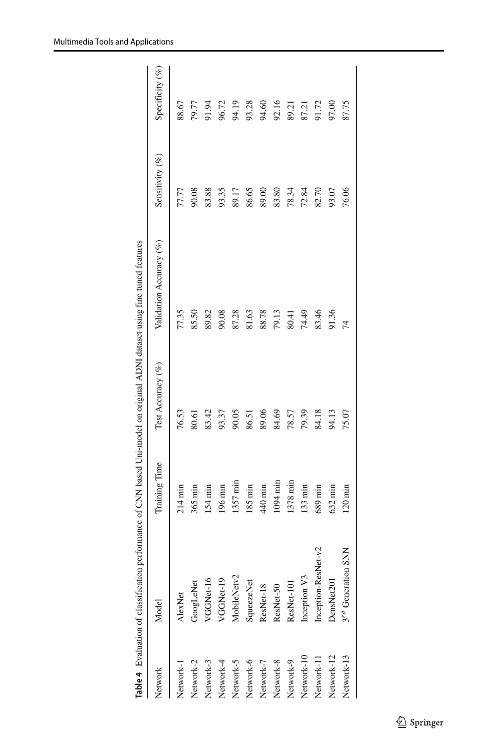<span id="page-18-0"></span>

|            | Table 4 Evaluation of classification |                   |                   | performance of CNN based Uni-model on original ADNI dataset using fine tuned features |                 |                    |
|------------|--------------------------------------|-------------------|-------------------|---------------------------------------------------------------------------------------|-----------------|--------------------|
| Network    | Model                                | Training Time     | Test Accuracy (%) | Validation Accuracy (%)                                                               | Sensitivity (%) | Specificity $(\%)$ |
| Network-1  | AlexNet                              | $214 \text{ min}$ | 76.53             | 77.35                                                                                 | 77.77           | 88.67              |
| Network-2  | GoogLeNet                            | $365 \text{ min}$ | 80.61             | 85.50                                                                                 | 90.08           | 79.77              |
| Network-3  | VGGNet-16                            | 154 min           | 83.42             | 89.82                                                                                 | 83.88           | 91.94<br>96.72     |
| Network-4  | VGGNet-19                            | 196 min           | 93.37             | 90.08                                                                                 | 93.35           |                    |
| Network-5  | MobileNetv2                          | 1357 min          | 90.05             | 87.28                                                                                 | 89.17           | 94.19              |
| Network-6  | SqueezeNet                           | 185 min           | 86.51             | 81.63                                                                                 | 86.65           |                    |
| Network-7  | ResNet-18                            | $440$ min         | 89.06             | 88.78                                                                                 | 89.00           | 93.28<br>94.60     |
| Network-8  | ResNet-50                            | 1094 min          | 84.69             | 79.13                                                                                 | 83.80           | 92.16              |
| Network-9  | ResNet-101                           | 1378 min          | 78.57             | 80.41                                                                                 | 78.34           | 89.21              |
| Network-10 | Inception V3                         | 133 min           | 79.39             | 74.49                                                                                 | 72.84           | 87.21              |
| Network-11 | $let-v2$<br>Inception-ResN           | $689 \text{ min}$ | 84.18             | 83.46                                                                                 | 82.70           | 91.72              |
| Network-12 | DensNet201                           | $632 \text{ min}$ | 94.13             | 91.36                                                                                 | 93.07           | 97.00              |
| Network-13 | <b>SNN</b><br>3rd Generation         | $120 \text{ min}$ | 75.07             | $\overline{14}$                                                                       | 76.06           | 87.75              |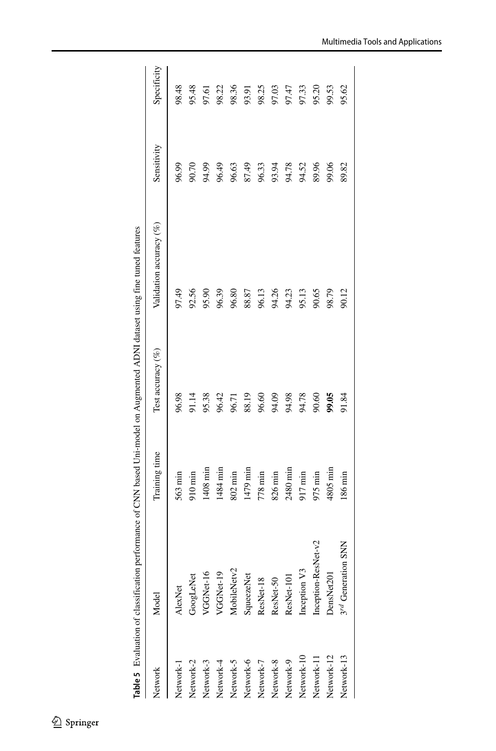<span id="page-19-0"></span>

|            | Table 5 Evaluation of classification performance of CNN based Uni-model on Augmented ADNI dataset using fine tuned features |                   |                      |                         |             |             |
|------------|-----------------------------------------------------------------------------------------------------------------------------|-------------------|----------------------|-------------------------|-------------|-------------|
| Network    | Model                                                                                                                       | Training time     | Test accuracy $(\%)$ | Validation accuracy (%) | Sensitivity | Specificity |
| Network-1  | AlexNet                                                                                                                     | $563 \text{ min}$ | 96.98                | 97.49                   | 96.99       | 98.48       |
| Network-2  | GoogLeNet                                                                                                                   | 910 min           | 91.14                | 92.56                   | 90.70       | 95.48       |
| Network-3  | VGGNet-16                                                                                                                   | 1408 min          | 95.38                | 95.90                   | 94.99       | 97.61       |
| Network-4  | VGGNet-19                                                                                                                   | 1484 min          | 96.42                | 96.39                   | 96.49       | 98.22       |
| Network-5  | MobileNetv2                                                                                                                 | 802 min           | 96.71                | 96.80                   | 96.63       | 98.36       |
| Network-6  | SqueezeNet                                                                                                                  | 1479 min          | 88.19                | 88.87                   | 87.49       | 93.91       |
| Network-7  | ResNet-18                                                                                                                   | 778 min           | 96.60                | 96.13                   | 96.33       | 98.25       |
| Network-8  | ResNet-50                                                                                                                   | 826 min           | 94.09                | 94.26                   | 93.94       | 97.03       |
| Network-9  | ResNet-101                                                                                                                  | 2480 min          | 94.98                | 94.23                   | 94.78       | 97.47       |
| Network-10 | Inception V3                                                                                                                | 917 min           | 94.78                | 95.13                   | 94.52       | 97.33       |
| Network-11 | Inception-ResNet-v2                                                                                                         | 975 min           | 90.60                | 90.65                   | 89.96       | 95.20       |
| Network-12 | DensNet201                                                                                                                  | 4805 mir          | 99.05                | 98.79                   | 99.06       | 99.53       |
| Network-13 | 3rd Generation SNN                                                                                                          | 186 min           | 91.84                | 90.12                   | 89.82       | 95.62       |
|            |                                                                                                                             |                   |                      |                         |             |             |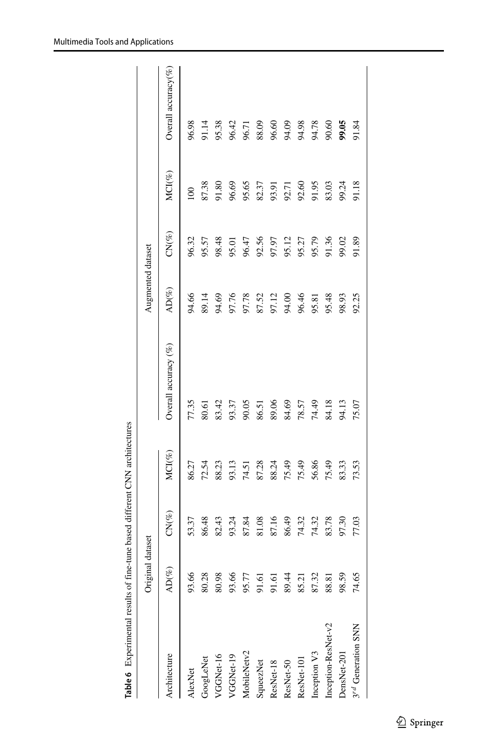<span id="page-20-0"></span>

| MCI(%)<br>87.38<br>96.69<br>95.65<br>91.95<br>83.03<br>91.18<br>82.37<br>92.60<br>91.80<br>99.24<br>93.91<br>92.71<br>100<br>$CN(\%)$<br>96.32<br>98.48<br>92.56<br>95.12<br>95.79<br>91.36<br>95.57<br>96.47<br>97.97<br>95.27<br>99.02<br>91.89<br>95.01<br>$AD(\%)$<br>96.46<br>94.66<br>94.69<br>89.14<br>97.76<br>97.78<br>87.52<br>97.12<br>94.00<br>95.48<br>98.93<br>92.25<br>95.81<br>Overall accuracy (%)<br>77.35<br>83.42<br>90.05<br>89.06<br>74.49<br>93.37<br>84.69<br>84.18<br>78.57<br>94.13<br>75.07<br>80.61<br>86.51<br>MCI(%)<br>75.49<br>75.49<br>56.86<br>86.27<br>72.54<br>88.23<br>93.13<br>87.28<br>88.24<br>75.49<br>83.33<br>74.51<br>73.53<br>$CN(\%)$<br>86.48<br>82.43<br>93.24<br>87.84<br>81.08<br>87.16<br>86.49<br>74.32<br>83.78<br>53.37<br>74.32<br>97.30<br>77.03<br>$AD(\%)$<br>93.66<br>80.28<br>80.98<br>93.66<br>89.44<br>87.32<br>91.61<br>98.59<br>74.65<br>95.77<br>1.61<br>85.21<br>88.81<br>Inception-ResNet-v2<br>3rd Generation SNN<br>Inception V3<br>MobileNetv2<br>DensNet-201<br>Architecture<br>VGGNet-16<br>VGGNet-19<br>GoogLeNet<br>ResNet-101<br>ResNet-50<br>SqueezNet<br>ResNet-18<br>AlexNet | Original | dataset |  | Augmented dataset |  |                          |
|------------------------------------------------------------------------------------------------------------------------------------------------------------------------------------------------------------------------------------------------------------------------------------------------------------------------------------------------------------------------------------------------------------------------------------------------------------------------------------------------------------------------------------------------------------------------------------------------------------------------------------------------------------------------------------------------------------------------------------------------------------------------------------------------------------------------------------------------------------------------------------------------------------------------------------------------------------------------------------------------------------------------------------------------------------------------------------------------------------------------------------------------------------|----------|---------|--|-------------------|--|--------------------------|
|                                                                                                                                                                                                                                                                                                                                                                                                                                                                                                                                                                                                                                                                                                                                                                                                                                                                                                                                                                                                                                                                                                                                                            |          |         |  |                   |  | Overall accuracy $(\% )$ |
|                                                                                                                                                                                                                                                                                                                                                                                                                                                                                                                                                                                                                                                                                                                                                                                                                                                                                                                                                                                                                                                                                                                                                            |          |         |  |                   |  | 96.98                    |
|                                                                                                                                                                                                                                                                                                                                                                                                                                                                                                                                                                                                                                                                                                                                                                                                                                                                                                                                                                                                                                                                                                                                                            |          |         |  |                   |  | 91.14                    |
|                                                                                                                                                                                                                                                                                                                                                                                                                                                                                                                                                                                                                                                                                                                                                                                                                                                                                                                                                                                                                                                                                                                                                            |          |         |  |                   |  | 95.38                    |
|                                                                                                                                                                                                                                                                                                                                                                                                                                                                                                                                                                                                                                                                                                                                                                                                                                                                                                                                                                                                                                                                                                                                                            |          |         |  |                   |  | 96.42                    |
|                                                                                                                                                                                                                                                                                                                                                                                                                                                                                                                                                                                                                                                                                                                                                                                                                                                                                                                                                                                                                                                                                                                                                            |          |         |  |                   |  | 96.71                    |
|                                                                                                                                                                                                                                                                                                                                                                                                                                                                                                                                                                                                                                                                                                                                                                                                                                                                                                                                                                                                                                                                                                                                                            |          |         |  |                   |  | 88.09                    |
|                                                                                                                                                                                                                                                                                                                                                                                                                                                                                                                                                                                                                                                                                                                                                                                                                                                                                                                                                                                                                                                                                                                                                            |          |         |  |                   |  | 96.60                    |
|                                                                                                                                                                                                                                                                                                                                                                                                                                                                                                                                                                                                                                                                                                                                                                                                                                                                                                                                                                                                                                                                                                                                                            |          |         |  |                   |  | 94.09                    |
|                                                                                                                                                                                                                                                                                                                                                                                                                                                                                                                                                                                                                                                                                                                                                                                                                                                                                                                                                                                                                                                                                                                                                            |          |         |  |                   |  | 94.98                    |
|                                                                                                                                                                                                                                                                                                                                                                                                                                                                                                                                                                                                                                                                                                                                                                                                                                                                                                                                                                                                                                                                                                                                                            |          |         |  |                   |  | 94.78                    |
|                                                                                                                                                                                                                                                                                                                                                                                                                                                                                                                                                                                                                                                                                                                                                                                                                                                                                                                                                                                                                                                                                                                                                            |          |         |  |                   |  | 90.60                    |
|                                                                                                                                                                                                                                                                                                                                                                                                                                                                                                                                                                                                                                                                                                                                                                                                                                                                                                                                                                                                                                                                                                                                                            |          |         |  |                   |  | 99.05                    |
|                                                                                                                                                                                                                                                                                                                                                                                                                                                                                                                                                                                                                                                                                                                                                                                                                                                                                                                                                                                                                                                                                                                                                            |          |         |  |                   |  | 91.84                    |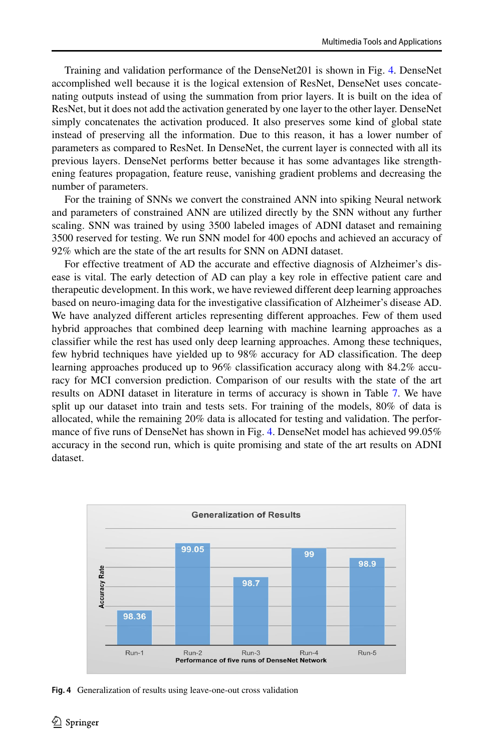Training and validation performance of the DenseNet201 is shown in Fig. [4.](#page-21-0) DenseNet accomplished well because it is the logical extension of ResNet, DenseNet uses concatenating outputs instead of using the summation from prior layers. It is built on the idea of ResNet, but it does not add the activation generated by one layer to the other layer. DenseNet simply concatenates the activation produced. It also preserves some kind of global state instead of preserving all the information. Due to this reason, it has a lower number of parameters as compared to ResNet. In DenseNet, the current layer is connected with all its previous layers. DenseNet performs better because it has some advantages like strengthening features propagation, feature reuse, vanishing gradient problems and decreasing the number of parameters.

For the training of SNNs we convert the constrained ANN into spiking Neural network and parameters of constrained ANN are utilized directly by the SNN without any further scaling. SNN was trained by using 3500 labeled images of ADNI dataset and remaining 3500 reserved for testing. We run SNN model for 400 epochs and achieved an accuracy of 92% which are the state of the art results for SNN on ADNI dataset.

For effective treatment of AD the accurate and effective diagnosis of Alzheimer's disease is vital. The early detection of AD can play a key role in effective patient care and therapeutic development. In this work, we have reviewed different deep learning approaches based on neuro-imaging data for the investigative classification of Alzheimer's disease AD. We have analyzed different articles representing different approaches. Few of them used hybrid approaches that combined deep learning with machine learning approaches as a classifier while the rest has used only deep learning approaches. Among these techniques, few hybrid techniques have yielded up to 98% accuracy for AD classification. The deep learning approaches produced up to 96% classification accuracy along with 84.2% accuracy for MCI conversion prediction. Comparison of our results with the state of the art results on ADNI dataset in literature in terms of accuracy is shown in Table [7.](#page-23-3) We have split up our dataset into train and tests sets. For training of the models, 80% of data is allocated, while the remaining 20% data is allocated for testing and validation. The performance of five runs of DenseNet has shown in Fig. [4.](#page-21-0) DenseNet model has achieved 99.05% accuracy in the second run, which is quite promising and state of the art results on ADNI dataset.

<span id="page-21-0"></span>

**Fig. 4** Generalization of results using leave-one-out cross validation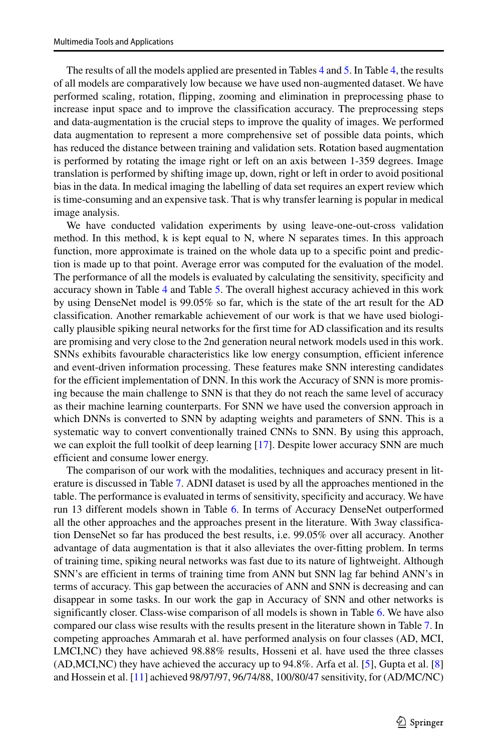The results of all the models applied are presented in Tables [4](#page-18-0) and [5.](#page-19-0) In Table [4,](#page-18-0) the results of all models are comparatively low because we have used non-augmented dataset. We have performed scaling, rotation, flipping, zooming and elimination in preprocessing phase to increase input space and to improve the classification accuracy. The preprocessing steps and data-augmentation is the crucial steps to improve the quality of images. We performed data augmentation to represent a more comprehensive set of possible data points, which has reduced the distance between training and validation sets. Rotation based augmentation is performed by rotating the image right or left on an axis between 1-359 degrees. Image translation is performed by shifting image up, down, right or left in order to avoid positional bias in the data. In medical imaging the labelling of data set requires an expert review which is time-consuming and an expensive task. That is why transfer learning is popular in medical image analysis.

We have conducted validation experiments by using leave-one-out-cross validation method. In this method, k is kept equal to N, where N separates times. In this approach function, more approximate is trained on the whole data up to a specific point and prediction is made up to that point. Average error was computed for the evaluation of the model. The performance of all the models is evaluated by calculating the sensitivity, specificity and accuracy shown in Table [4](#page-18-0) and Table [5.](#page-19-0) The overall highest accuracy achieved in this work by using DenseNet model is 99.05% so far, which is the state of the art result for the AD classification. Another remarkable achievement of our work is that we have used biologically plausible spiking neural networks for the first time for AD classification and its results are promising and very close to the 2nd generation neural network models used in this work. SNNs exhibits favourable characteristics like low energy consumption, efficient inference and event-driven information processing. These features make SNN interesting candidates for the efficient implementation of DNN. In this work the Accuracy of SNN is more promising because the main challenge to SNN is that they do not reach the same level of accuracy as their machine learning counterparts. For SNN we have used the conversion approach in which DNNs is converted to SNN by adapting weights and parameters of SNN. This is a systematic way to convert conventionally trained CNNs to SNN. By using this approach, we can exploit the full toolkit of deep learning [\[17\]](#page-24-21). Despite lower accuracy SNN are much efficient and consume lower energy.

The comparison of our work with the modalities, techniques and accuracy present in literature is discussed in Table [7.](#page-23-3) ADNI dataset is used by all the approaches mentioned in the table. The performance is evaluated in terms of sensitivity, specificity and accuracy. We have run 13 different models shown in Table [6.](#page-20-0) In terms of Accuracy DenseNet outperformed all the other approaches and the approaches present in the literature. With 3way classification DenseNet so far has produced the best results, i.e. 99.05% over all accuracy. Another advantage of data augmentation is that it also alleviates the over-fitting problem. In terms of training time, spiking neural networks was fast due to its nature of lightweight. Although SNN's are efficient in terms of training time from ANN but SNN lag far behind ANN's in terms of accuracy. This gap between the accuracies of ANN and SNN is decreasing and can disappear in some tasks. In our work the gap in Accuracy of SNN and other networks is significantly closer. Class-wise comparison of all models is shown in Table [6.](#page-20-0) We have also compared our class wise results with the results present in the literature shown in Table [7.](#page-23-3) In competing approaches Ammarah et al. have performed analysis on four classes (AD, MCI, LMCI,NC) they have achieved 98.88% results, Hosseni et al. have used the three classes (AD,MCI,NC) they have achieved the accuracy up to 94.8%. Arfa et al. [\[5\]](#page-24-16), Gupta et al. [\[8\]](#page-24-22) and Hossein et al. [\[11\]](#page-24-23) achieved 98/97/97, 96/74/88, 100/80/47 sensitivity, for (AD/MC/NC)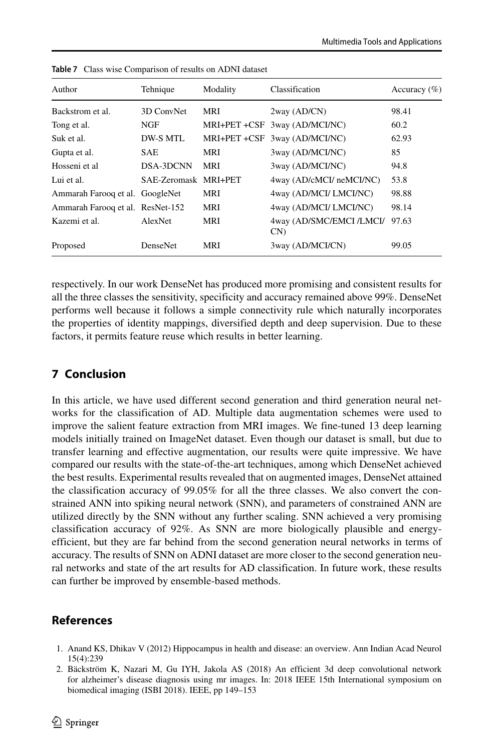| Author                           | Tehnique             | Modality     | Classification                     | Accuracy $(\% )$ |
|----------------------------------|----------------------|--------------|------------------------------------|------------------|
| Backstrom et al.                 | 3D ConvNet           | <b>MRI</b>   | 2way (AD/CN)                       | 98.41            |
| Tong et al.                      | NGF                  | MRI+PET +CSF | 3way (AD/MCI/NC)                   | 60.2             |
| Suk et al.                       | DW-S MTL             | MRI+PET +CSF | 3way (AD/MCI/NC)                   | 62.93            |
| Gupta et al.                     | <b>SAE</b>           | <b>MRI</b>   | 3way (AD/MCI/NC)                   | 85               |
| Hosseni et al                    | DSA-3DCNN            | MRI          | 3way (AD/MCI/NC)                   | 94.8             |
| Lui et al.                       | SAE-Zeromask MRI+PET |              | 4way (AD/cMCI/ neMCI/NC)           | 53.8             |
| Ammarah Farooq et al. GoogleNet  |                      | MRI          | 4way (AD/MCI/ LMCI/NC)             | 98.88            |
| Ammarah Farooq et al. ResNet-152 |                      | <b>MRI</b>   | 4way (AD/MCI/ LMCI/NC)             | 98.14            |
| Kazemi et al.                    | AlexNet              | MRI          | 4way (AD/SMC/EMCI /LMCI/<br>$CN$ ) | 97.63            |
| Proposed                         | <b>DenseNet</b>      | MRI          | 3way (AD/MCI/CN)                   | 99.05            |

<span id="page-23-3"></span>**Table 7** Class wise Comparison of results on ADNI dataset

respectively. In our work DenseNet has produced more promising and consistent results for all the three classes the sensitivity, specificity and accuracy remained above 99%. DenseNet performs well because it follows a simple connectivity rule which naturally incorporates the properties of identity mappings, diversified depth and deep supervision. Due to these factors, it permits feature reuse which results in better learning.

# <span id="page-23-1"></span>**7 Conclusion**

In this article, we have used different second generation and third generation neural networks for the classification of AD. Multiple data augmentation schemes were used to improve the salient feature extraction from MRI images. We fine-tuned 13 deep learning models initially trained on ImageNet dataset. Even though our dataset is small, but due to transfer learning and effective augmentation, our results were quite impressive. We have compared our results with the state-of-the-art techniques, among which DenseNet achieved the best results. Experimental results revealed that on augmented images, DenseNet attained the classification accuracy of 99.05% for all the three classes. We also convert the constrained ANN into spiking neural network (SNN), and parameters of constrained ANN are utilized directly by the SNN without any further scaling. SNN achieved a very promising classification accuracy of 92%. As SNN are more biologically plausible and energyefficient, but they are far behind from the second generation neural networks in terms of accuracy. The results of SNN on ADNI dataset are more closer to the second generation neural networks and state of the art results for AD classification. In future work, these results can further be improved by ensemble-based methods.

# **References**

- <span id="page-23-0"></span>1. Anand KS, Dhikav V (2012) Hippocampus in health and disease: an overview. Ann Indian Acad Neurol 15(4):239
- <span id="page-23-2"></span>2. Bäckström K, Nazari M, Gu IYH, Jakola AS (2018) An efficient 3d deep convolutional network for alzheimer's disease diagnosis using mr images. In: 2018 IEEE 15th International symposium on biomedical imaging (ISBI 2018). IEEE, pp 149–153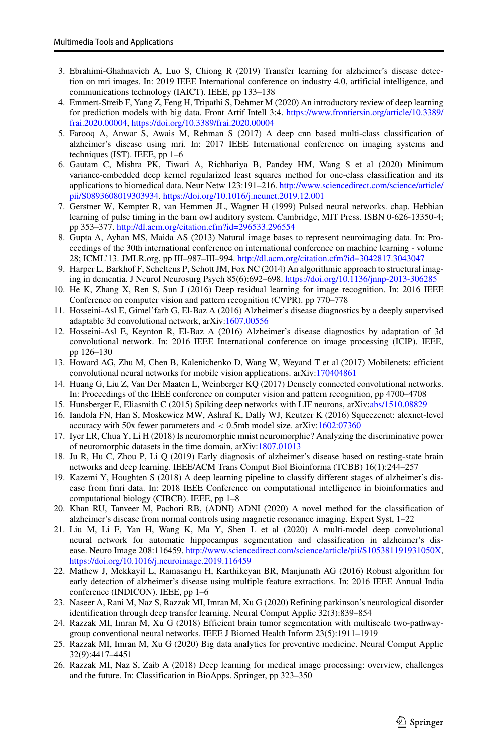- <span id="page-24-20"></span>3. Ebrahimi-Ghahnavieh A, Luo S, Chiong R (2019) Transfer learning for alzheimer's disease detection on mri images. In: 2019 IEEE International conference on industry 4.0, artificial intelligence, and communications technology (IAICT). IEEE, pp 133–138
- <span id="page-24-4"></span>4. Emmert-Streib F, Yang Z, Feng H, Tripathi S, Dehmer M (2020) An introductory review of deep learning for prediction models with big data. Front Artif Intell 3:4. [https://www.frontiersin.org/article/10.3389/](https://www.frontiersin.org/article/10.3389/frai.2020.00004) [frai.2020.00004,](https://www.frontiersin.org/article/10.3389/frai.2020.00004) <https://doi.org/10.3389/frai.2020.00004>
- <span id="page-24-16"></span>5. Farooq A, Anwar S, Awais M, Rehman S (2017) A deep cnn based multi-class classification of alzheimer's disease using mri. In: 2017 IEEE International conference on imaging systems and techniques (IST). IEEE, pp 1–6
- <span id="page-24-17"></span>6. Gautam C, Mishra PK, Tiwari A, Richhariya B, Pandey HM, Wang S et al (2020) Minimum variance-embedded deep kernel regularized least squares method for one-class classification and its applications to biomedical data. Neur Netw 123:191–216. [http://www.sciencedirect.com/science/article/](http://www.sciencedirect.com/science/article/pii/S0893608019303934) [pii/S0893608019303934.](http://www.sciencedirect.com/science/article/pii/S0893608019303934) <https://doi.org/10.1016/j.neunet.2019.12.001>
- <span id="page-24-9"></span>7. Gerstner W, Kempter R, van Hemmen JL, Wagner H (1999) Pulsed neural networks. chap. Hebbian learning of pulse timing in the barn owl auditory system. Cambridge, MIT Press. ISBN 0-626-13350-4; pp 353–377. <http://dl.acm.org/citation.cfm?id=296533.296554>
- <span id="page-24-22"></span>8. Gupta A, Ayhan MS, Maida AS (2013) Natural image bases to represent neuroimaging data. In: Proceedings of the 30th international conference on international conference on machine learning - volume 28; ICML'13. JMLR.org, pp III–987–III–994. <http://dl.acm.org/citation.cfm?id=3042817.3043047>
- <span id="page-24-1"></span>9. Harper L, Barkhof F, Scheltens P, Schott JM, Fox NC (2014) An algorithmic approach to structural imaging in dementia. J Neurol Neurosurg Psych 85(6):692–698. <https://doi.org/10.1136/jnnp-2013-306285>
- <span id="page-24-5"></span>10. He K, Zhang X, Ren S, Sun J (2016) Deep residual learning for image recognition. In: 2016 IEEE Conference on computer vision and pattern recognition (CVPR). pp 770–778
- <span id="page-24-23"></span>11. Hosseini-Asl E, Gimel'farb G, El-Baz A (2016) Alzheimer's disease diagnostics by a deeply supervised adaptable 3d convolutional network, arXiv[:1607.00556](http://arxiv.org/abs/1607.00556)
- <span id="page-24-12"></span>12. Hosseini-Asl E, Keynton R, El-Baz A (2016) Alzheimer's disease diagnostics by adaptation of 3d convolutional network. In: 2016 IEEE International conference on image processing (ICIP). IEEE, pp 126–130
- <span id="page-24-7"></span>13. Howard AG, Zhu M, Chen B, Kalenichenko D, Wang W, Weyand T et al (2017) Mobilenets: efficient convolutional neural networks for mobile vision applications. arXiv[:170404861](http://arxiv.org/abs/170404861)
- <span id="page-24-6"></span>14. Huang G, Liu Z, Van Der Maaten L, Weinberger KQ (2017) Densely connected convolutional networks. In: Proceedings of the IEEE conference on computer vision and pattern recognition, pp 4700–4708
- <span id="page-24-10"></span>15. Hunsberger E, Eliasmith C (2015) Spiking deep networks with LIF neurons, arXiv[:abs/1510.08829](http://arxiv.org/abs/1510.08829)
- <span id="page-24-8"></span>16. Iandola FN, Han S, Moskewicz MW, Ashraf K, Dally WJ, Keutzer K (2016) Squeezenet: alexnet-level accuracy with 50x fewer parameters and *<* 0.5mb model size. arXiv[:1602:07360](http://arxiv.org/abs/1602.07360)
- <span id="page-24-21"></span>17. Iyer LR, Chua Y, Li H (2018) Is neuromorphic mnist neuromorphic? Analyzing the discriminative power of neuromorphic datasets in the time domain, arXiv[:1807.01013](http://arxiv.org/abs/1807.01013)
- <span id="page-24-13"></span>18. Ju R, Hu C, Zhou P, Li Q (2019) Early diagnosis of alzheimer's disease based on resting-state brain networks and deep learning. IEEE/ACM Trans Comput Biol Bioinforma (TCBB) 16(1):244–257
- <span id="page-24-19"></span>19. Kazemi Y, Houghten S (2018) A deep learning pipeline to classify different stages of alzheimer's disease from fmri data. In: 2018 IEEE Conference on computational intelligence in bioinformatics and computational biology (CIBCB). IEEE, pp 1–8
- <span id="page-24-0"></span>20. Khan RU, Tanveer M, Pachori RB, (ADNI) ADNI (2020) A novel method for the classification of alzheimer's disease from normal controls using magnetic resonance imaging. Expert Syst, 1–22
- <span id="page-24-18"></span>21. Liu M, Li F, Yan H, Wang K, Ma Y, Shen L et al (2020) A multi-model deep convolutional neural network for automatic hippocampus segmentation and classification in alzheimer's disease. Neuro Image 208:116459. [http://www.sciencedirect.com/science/article/pii/S105381191931050X,](http://www.sciencedirect.com/science/article/pii/S105381191931050X) <https://doi.org/10.1016/j.neuroimage.2019.116459>
- <span id="page-24-11"></span>22. Mathew J, Mekkayil L, Ramasangu H, Karthikeyan BR, Manjunath AG (2016) Robust algorithm for early detection of alzheimer's disease using multiple feature extractions. In: 2016 IEEE Annual India conference (INDICON). IEEE, pp 1–6
- <span id="page-24-3"></span>23. Naseer A, Rani M, Naz S, Razzak MI, Imran M, Xu G (2020) Refining parkinson's neurological disorder identification through deep transfer learning. Neural Comput Applic 32(3):839–854
- <span id="page-24-14"></span>24. Razzak MI, Imran M, Xu G (2018) Efficient brain tumor segmentation with multiscale two-pathwaygroup conventional neural networks. IEEE J Biomed Health Inform 23(5):1911–1919
- <span id="page-24-2"></span>25. Razzak MI, Imran M, Xu G (2020) Big data analytics for preventive medicine. Neural Comput Applic 32(9):4417–4451
- <span id="page-24-15"></span>26. Razzak MI, Naz S, Zaib A (2018) Deep learning for medical image processing: overview, challenges and the future. In: Classification in BioApps. Springer, pp 323–350